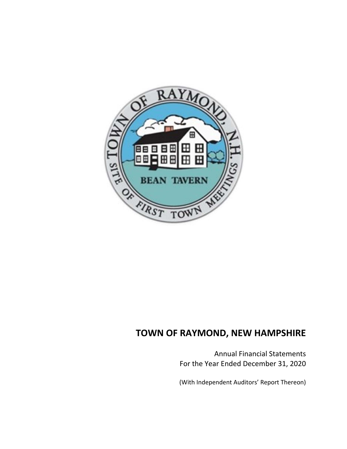

Annual Financial Statements For the Year Ended December 31, 2020

(With Independent Auditors' Report Thereon)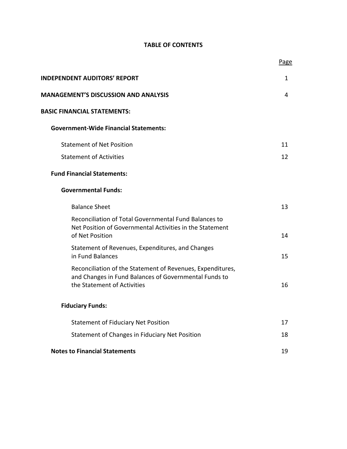# **TABLE OF CONTENTS**

|                                                                                                                                                    | Page |
|----------------------------------------------------------------------------------------------------------------------------------------------------|------|
| <b>INDEPENDENT AUDITORS' REPORT</b>                                                                                                                | 1    |
| <b>MANAGEMENT'S DISCUSSION AND ANALYSIS</b>                                                                                                        | 4    |
| <b>BASIC FINANCIAL STATEMENTS:</b>                                                                                                                 |      |
| <b>Government-Wide Financial Statements:</b>                                                                                                       |      |
| <b>Statement of Net Position</b>                                                                                                                   | 11   |
| <b>Statement of Activities</b>                                                                                                                     | 12   |
| <b>Fund Financial Statements:</b>                                                                                                                  |      |
| <b>Governmental Funds:</b>                                                                                                                         |      |
| <b>Balance Sheet</b>                                                                                                                               | 13   |
| Reconciliation of Total Governmental Fund Balances to<br>Net Position of Governmental Activities in the Statement<br>of Net Position               | 14   |
| Statement of Revenues, Expenditures, and Changes<br>in Fund Balances                                                                               | 15   |
| Reconciliation of the Statement of Revenues, Expenditures,<br>and Changes in Fund Balances of Governmental Funds to<br>the Statement of Activities | 16   |
| <b>Fiduciary Funds:</b>                                                                                                                            |      |
| <b>Statement of Fiduciary Net Position</b>                                                                                                         | 17   |
| Statement of Changes in Fiduciary Net Position                                                                                                     | 18   |
| <b>Notes to Financial Statements</b>                                                                                                               | 19   |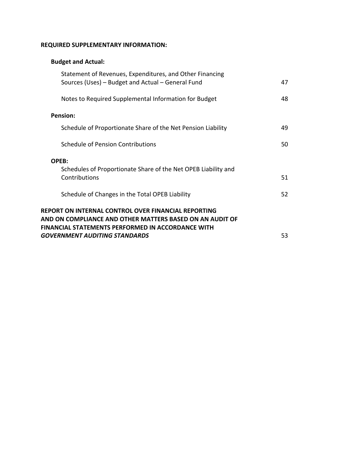# **REQUIRED SUPPLEMENTARY INFORMATION:**

# **Budget and Actual:**

| Statement of Revenues, Expenditures, and Other Financing<br>Sources (Uses) – Budget and Actual – General Fund                                                                      | 47 |
|------------------------------------------------------------------------------------------------------------------------------------------------------------------------------------|----|
| Notes to Required Supplemental Information for Budget                                                                                                                              | 48 |
| <b>Pension:</b>                                                                                                                                                                    |    |
| Schedule of Proportionate Share of the Net Pension Liability                                                                                                                       | 49 |
| <b>Schedule of Pension Contributions</b>                                                                                                                                           | 50 |
| <b>OPEB:</b>                                                                                                                                                                       |    |
| Schedules of Proportionate Share of the Net OPEB Liability and<br>Contributions                                                                                                    | 51 |
| Schedule of Changes in the Total OPEB Liability                                                                                                                                    | 52 |
| <b>REPORT ON INTERNAL CONTROL OVER FINANCIAL REPORTING</b><br>AND ON COMPLIANCE AND OTHER MATTERS BASED ON AN AUDIT OF<br><b>FINANCIAL STATEMENTS PERFORMED IN ACCORDANCE WITH</b> |    |
| <b>GOVERNMENT AUDITING STANDARDS</b>                                                                                                                                               | 53 |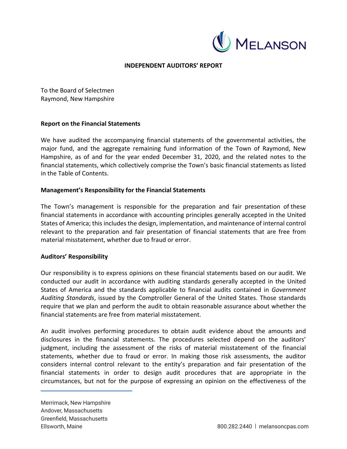

# **INDEPENDENT AUDITORS' REPORT**

To the Board of Selectmen Raymond, New Hampshire

#### **Report on the Financial Statements**

We have audited the accompanying financial statements of the governmental activities, the major fund, and the aggregate remaining fund information of the Town of Raymond, New Hampshire, as of and for the year ended December 31, 2020, and the related notes to the financial statements, which collectively comprise the Town's basic financial statements as listed in the Table of Contents.

#### **Management's Responsibility for the Financial Statements**

The Town's management is responsible for the preparation and fair presentation of these financial statements in accordance with accounting principles generally accepted in the United States of America; this includes the design, implementation, and maintenance of internal control relevant to the preparation and fair presentation of financial statements that are free from material misstatement, whether due to fraud or error.

#### **Auditors' Responsibility**

Our responsibility is to express opinions on these financial statements based on our audit. We conducted our audit in accordance with auditing standards generally accepted in the United States of America and the standards applicable to financial audits contained in *Government Auditing Standards*, issued by the Comptroller General of the United States. Those standards require that we plan and perform the audit to obtain reasonable assurance about whether the financial statements are free from material misstatement.

An audit involves performing procedures to obtain audit evidence about the amounts and disclosures in the financial statements. The procedures selected depend on the auditors' judgment, including the assessment of the risks of material misstatement of the financial statements, whether due to fraud or error. In making those risk assessments, the auditor considers internal control relevant to the entity's preparation and fair presentation of the financial statements in order to design audit procedures that are appropriate in the circumstances, but not for the purpose of expressing an opinion on the effectiveness of the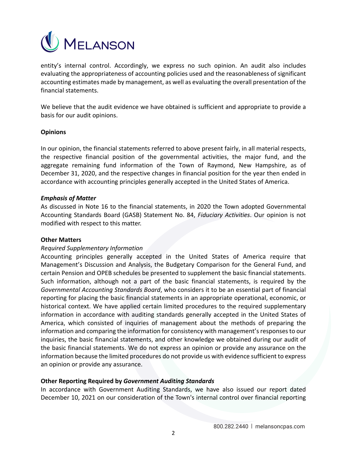

entity's internal control. Accordingly, we express no such opinion. An audit also includes evaluating the appropriateness of accounting policies used and the reasonableness of significant accounting estimates made by management, as well as evaluating the overall presentation of the financial statements.

We believe that the audit evidence we have obtained is sufficient and appropriate to provide a basis for our audit opinions.

#### **Opinions**

In our opinion, the financial statements referred to above present fairly, in all material respects, the respective financial position of the governmental activities, the major fund, and the aggregate remaining fund information of the Town of Raymond, New Hampshire, as of December 31, 2020, and the respective changes in financial position for the year then ended in accordance with accounting principles generally accepted in the United States of America.

#### *Emphasis of Matter*

As discussed in Note 16 to the financial statements, in 2020 the Town adopted Governmental Accounting Standards Board (GASB) Statement No. 84, *Fiduciary Activities*. Our opinion is not modified with respect to this matter.

#### **Other Matters**

# *Required Supplementary Information*

Accounting principles generally accepted in the United States of America require that Management's Discussion and Analysis, the Budgetary Comparison for the General Fund, and certain Pension and OPEB schedules be presented to supplement the basic financial statements. Such information, although not a part of the basic financial statements, is required by the *Governmental Accounting Standards Board*, who considers it to be an essential part of financial reporting for placing the basic financial statements in an appropriate operational, economic, or historical context. We have applied certain limited procedures to the required supplementary information in accordance with auditing standards generally accepted in the United States of America, which consisted of inquiries of management about the methods of preparing the information and comparing the information for consistency with management's responses to our inquiries, the basic financial statements, and other knowledge we obtained during our audit of the basic financial statements. We do not express an opinion or provide any assurance on the information because the limited procedures do not provide us with evidence sufficient to express an opinion or provide any assurance.

# **Other Reporting Required by** *Government Auditing Standards*

In accordance with Government Auditing Standards, we have also issued our report dated December 10, 2021 on our consideration of the Town's internal control over financial reporting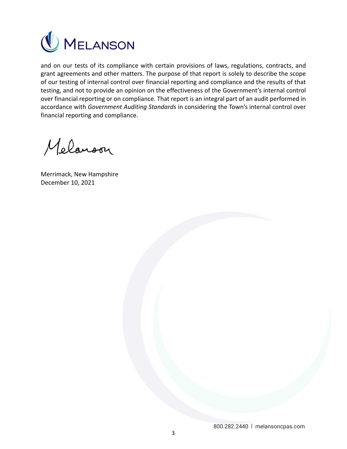

and on our tests of its compliance with certain provisions of laws, regulations, contracts, and grant agreements and other matters. The purpose of that report is solely to describe the scope of our testing of internal control over financial reporting and compliance and the results of that testing, and not to provide an opinion on the effectiveness of the Government's internal control over financial reporting or on compliance. That report is an integral part of an audit performed in accordance with *Government Auditing Standards* in considering the Town's internal control over financial reporting and compliance.

Melanoon

Merrimack, New Hampshire December 10, 2021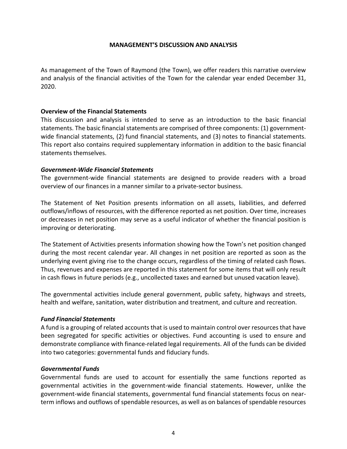#### **MANAGEMENT'S DISCUSSION AND ANALYSIS**

As management of the Town of Raymond (the Town), we offer readers this narrative overview and analysis of the financial activities of the Town for the calendar year ended December 31, 2020.

#### **Overview of the Financial Statements**

This discussion and analysis is intended to serve as an introduction to the basic financial statements. The basic financial statements are comprised of three components: (1) government‐ wide financial statements, (2) fund financial statements, and (3) notes to financial statements. This report also contains required supplementary information in addition to the basic financial statements themselves.

#### *Government‐Wide Financial Statements*

The government-wide financial statements are designed to provide readers with a broad overview of our finances in a manner similar to a private‐sector business.

The Statement of Net Position presents information on all assets, liabilities, and deferred outflows/inflows of resources, with the difference reported as net position. Over time, increases or decreases in net position may serve as a useful indicator of whether the financial position is improving or deteriorating.

The Statement of Activities presents information showing how the Town's net position changed during the most recent calendar year. All changes in net position are reported as soon as the underlying event giving rise to the change occurs, regardless of the timing of related cash flows. Thus, revenues and expenses are reported in this statement for some items that will only result in cash flows in future periods (e.g., uncollected taxes and earned but unused vacation leave).

The governmental activities include general government, public safety, highways and streets, health and welfare, sanitation, water distribution and treatment, and culture and recreation.

# *Fund Financial Statements*

A fund is a grouping of related accounts that is used to maintain control over resources that have been segregated for specific activities or objectives. Fund accounting is used to ensure and demonstrate compliance with finance‐related legal requirements. All of the funds can be divided into two categories: governmental funds and fiduciary funds.

#### *Governmental Funds*

Governmental funds are used to account for essentially the same functions reported as governmental activities in the government‐wide financial statements. However, unlike the government‐wide financial statements, governmental fund financial statements focus on near‐ term inflows and outflows of spendable resources, as well as on balances of spendable resources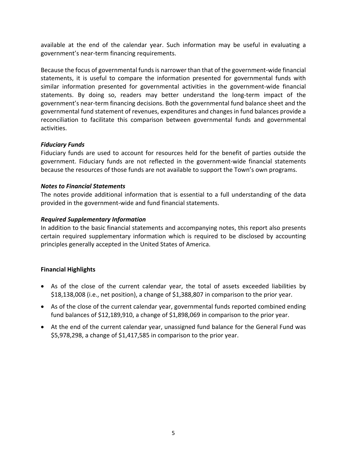available at the end of the calendar year. Such information may be useful in evaluating a government's near‐term financing requirements.

Because the focus of governmental funds is narrower than that of the government‐wide financial statements, it is useful to compare the information presented for governmental funds with similar information presented for governmental activities in the government‐wide financial statements. By doing so, readers may better understand the long-term impact of the government's near‐term financing decisions. Both the governmental fund balance sheet and the governmental fund statement of revenues, expenditures and changes in fund balances provide a reconciliation to facilitate this comparison between governmental funds and governmental activities.

# *Fiduciary Funds*

Fiduciary funds are used to account for resources held for the benefit of parties outside the government. Fiduciary funds are not reflected in the government-wide financial statements because the resources of those funds are not available to support the Town's own programs.

# *Notes to Financial Statements*

The notes provide additional information that is essential to a full understanding of the data provided in the government‐wide and fund financial statements.

# *Required Supplementary Information*

In addition to the basic financial statements and accompanying notes, this report also presents certain required supplementary information which is required to be disclosed by accounting principles generally accepted in the United States of America.

# **Financial Highlights**

- As of the close of the current calendar year, the total of assets exceeded liabilities by \$18,138,008 (i.e., net position), a change of \$1,388,807 in comparison to the prior year.
- As of the close of the current calendar year, governmental funds reported combined ending fund balances of \$12,189,910, a change of \$1,898,069 in comparison to the prior year.
- At the end of the current calendar year, unassigned fund balance for the General Fund was \$5,978,298, a change of \$1,417,585 in comparison to the prior year.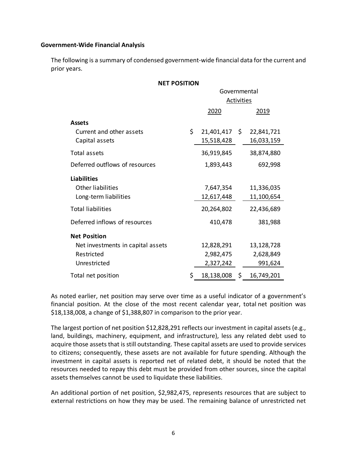#### **Government‐Wide Financial Analysis**

The following is a summary of condensed government‐wide financial data for the current and prior years.

| <b>NET POSITION</b>               |    |               |                   |            |  |  |  |
|-----------------------------------|----|---------------|-------------------|------------|--|--|--|
|                                   |    | Governmental  |                   |            |  |  |  |
|                                   |    |               | <b>Activities</b> |            |  |  |  |
|                                   |    | 2020          |                   | 2019       |  |  |  |
| <b>Assets</b>                     |    |               |                   |            |  |  |  |
| Current and other assets          | \$ | 21,401,417 \$ |                   | 22,841,721 |  |  |  |
| Capital assets                    |    | 15,518,428    |                   | 16,033,159 |  |  |  |
| <b>Total assets</b>               |    | 36,919,845    |                   | 38,874,880 |  |  |  |
| Deferred outflows of resources    |    | 1,893,443     |                   | 692,998    |  |  |  |
| <b>Liabilities</b>                |    |               |                   |            |  |  |  |
| <b>Other liabilities</b>          |    | 7,647,354     |                   | 11,336,035 |  |  |  |
| Long-term liabilities             |    | 12,617,448    |                   | 11,100,654 |  |  |  |
| <b>Total liabilities</b>          |    | 20,264,802    |                   | 22,436,689 |  |  |  |
| Deferred inflows of resources     |    | 410,478       |                   | 381,988    |  |  |  |
| <b>Net Position</b>               |    |               |                   |            |  |  |  |
| Net investments in capital assets |    | 12,828,291    |                   | 13,128,728 |  |  |  |
| Restricted                        |    | 2,982,475     |                   | 2,628,849  |  |  |  |
| Unrestricted                      |    | 2,327,242     |                   | 991,624    |  |  |  |
| Total net position                | \$ | 18,138,008    | \$                | 16,749,201 |  |  |  |

As noted earlier, net position may serve over time as a useful indicator of a government's financial position. At the close of the most recent calendar year, total net position was \$18,138,008, a change of \$1,388,807 in comparison to the prior year.

The largest portion of net position \$12,828,291 reflects our investment in capital assets (e.g., land, buildings, machinery, equipment, and infrastructure), less any related debt used to acquire those assets that is still outstanding. These capital assets are used to provide services to citizens; consequently, these assets are not available for future spending. Although the investment in capital assets is reported net of related debt, it should be noted that the resources needed to repay this debt must be provided from other sources, since the capital assets themselves cannot be used to liquidate these liabilities.

An additional portion of net position, \$2,982,475, represents resources that are subject to external restrictions on how they may be used. The remaining balance of unrestricted net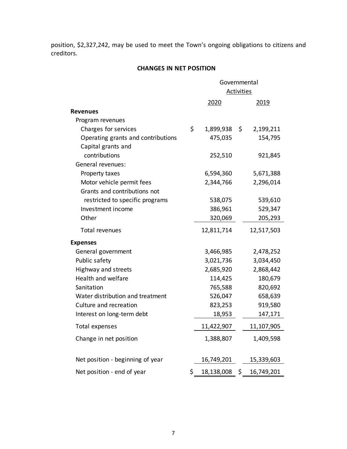position, \$2,327,242, may be used to meet the Town's ongoing obligations to citizens and creditors.

# **CHANGES IN NET POSITION**

|                                    | Governmental     |    |            |  |  |
|------------------------------------|------------------|----|------------|--|--|
|                                    | Activities       |    |            |  |  |
|                                    | 2020             |    | 2019       |  |  |
| <b>Revenues</b>                    |                  |    |            |  |  |
| Program revenues                   |                  |    |            |  |  |
| Charges for services               | \$<br>1,899,938  | \$ | 2,199,211  |  |  |
| Operating grants and contributions | 475,035          |    | 154,795    |  |  |
| Capital grants and                 |                  |    |            |  |  |
| contributions                      | 252,510          |    | 921,845    |  |  |
| General revenues:                  |                  |    |            |  |  |
| Property taxes                     | 6,594,360        |    | 5,671,388  |  |  |
| Motor vehicle permit fees          | 2,344,766        |    | 2,296,014  |  |  |
| Grants and contributions not       |                  |    |            |  |  |
| restricted to specific programs    | 538,075          |    | 539,610    |  |  |
| Investment income                  | 386,961          |    | 529,347    |  |  |
| Other                              | 320,069          |    | 205,293    |  |  |
| Total revenues                     | 12,811,714       |    | 12,517,503 |  |  |
| <b>Expenses</b>                    |                  |    |            |  |  |
| General government                 | 3,466,985        |    | 2,478,252  |  |  |
| Public safety                      | 3,021,736        |    | 3,034,450  |  |  |
| Highway and streets                | 2,685,920        |    | 2,868,442  |  |  |
| Health and welfare                 | 114,425          |    | 180,679    |  |  |
| Sanitation                         | 765,588          |    | 820,692    |  |  |
| Water distribution and treatment   | 526,047          |    | 658,639    |  |  |
| Culture and recreation             | 823,253          |    | 919,580    |  |  |
| Interest on long-term debt         | 18,953           |    | 147,171    |  |  |
| <b>Total expenses</b>              | 11,422,907       |    | 11,107,905 |  |  |
| Change in net position             | 1,388,807        |    | 1,409,598  |  |  |
|                                    |                  |    |            |  |  |
| Net position - beginning of year   | 16,749,201       |    | 15,339,603 |  |  |
| Net position - end of year         | \$<br>18,138,008 | \$ | 16,749,201 |  |  |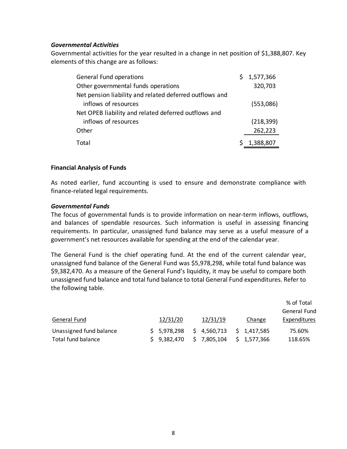#### *Governmental Activities*

Governmental activities for the year resulted in a change in net position of \$1,388,807. Key elements of this change are as follows:

| General Fund operations                                 | \$1,577,366 |
|---------------------------------------------------------|-------------|
| Other governmental funds operations                     | 320,703     |
| Net pension liability and related deferred outflows and |             |
| inflows of resources                                    | (553,086)   |
| Net OPEB liability and related deferred outflows and    |             |
| inflows of resources                                    | (218, 399)  |
| Other                                                   | 262,223     |
| Total                                                   | \$1,388,807 |

#### **Financial Analysis of Funds**

As noted earlier, fund accounting is used to ensure and demonstrate compliance with finance‐related legal requirements.

#### *Governmental Funds*

The focus of governmental funds is to provide information on near‐term inflows, outflows, and balances of spendable resources. Such information is useful in assessing financing requirements. In particular, unassigned fund balance may serve as a useful measure of a government's net resources available for spending at the end of the calendar year.

The General Fund is the chief operating fund. At the end of the current calendar year, unassigned fund balance of the General Fund was \$5,978,298, while total fund balance was \$9,382,470. As a measure of the General Fund's liquidity, it may be useful to compare both unassigned fund balance and total fund balance to total General Fund expenditures. Refer to the following table.

|                         |             |             |             | % of Total   |
|-------------------------|-------------|-------------|-------------|--------------|
|                         |             |             |             | General Fund |
| General Fund            | 12/31/20    | 12/31/19    | Change      | Expenditures |
| Unassigned fund balance | \$5,978,298 | \$4,560,713 | \$1,417,585 | 75.60%       |
| Total fund balance      | \$9,382,470 | \$7,805,104 | \$1,577,366 | 118.65%      |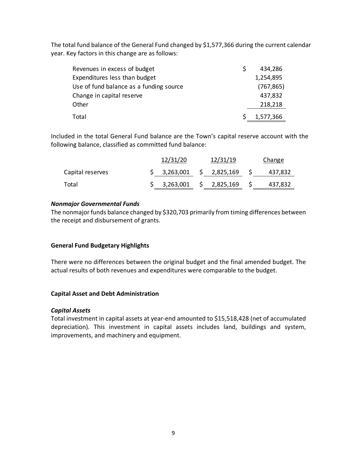The total fund balance of the General Fund changed by \$1,577,366 during the current calendar year. Key factors in this change are as follows:

| Revenues in excess of budget            | 434,286    |
|-----------------------------------------|------------|
| Expenditures less than budget           | 1,254,895  |
| Use of fund balance as a funding source | (767, 865) |
| Change in capital reserve               | 437,832    |
| Other                                   | 218,218    |
| Total                                   | 1,577,366  |

Included in the total General Fund balance are the Town's capital reserve account with the following balance, classified as committed fund balance:

|                  | 12/31/20    | 12/31/19 |              |  | Change  |
|------------------|-------------|----------|--------------|--|---------|
| Capital reserves | \$3,263,001 |          | \$2,825,169  |  | 437,832 |
| Total            | \$3,263,001 |          | \$ 2,825,169 |  | 437,832 |

# *Nonmajor Governmental Funds*

The nonmajor funds balance changed by \$320,703 primarily from timing differences between the receipt and disbursement of grants.

# **General Fund Budgetary Highlights**

There were no differences between the original budget and the final amended budget. The actual results of both revenues and expenditures were comparable to the budget.

# **Capital Asset and Debt Administration**

# *Capital Assets*

Total investment in capital assets at year‐end amounted to \$15,518,428 (net of accumulated depreciation). This investment in capital assets includes land, buildings and system, improvements, and machinery and equipment.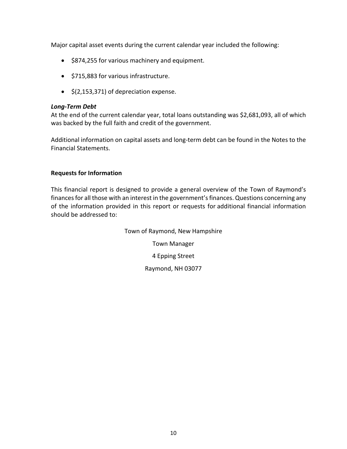Major capital asset events during the current calendar year included the following:

- \$874,255 for various machinery and equipment.
- \$715,883 for various infrastructure.
- $\bullet$  \$(2,153,371) of depreciation expense.

# *Long‐Term Debt*

At the end of the current calendar year, total loans outstanding was \$2,681,093, all of which was backed by the full faith and credit of the government.

Additional information on capital assets and long‐term debt can be found in the Notes to the Financial Statements.

# **Requests for Information**

This financial report is designed to provide a general overview of the Town of Raymond's finances for all those with an interest in the government's finances. Questions concerning any of the information provided in this report or requests for additional financial information should be addressed to:

> Town of Raymond, New Hampshire Town Manager 4 Epping Street Raymond, NH 03077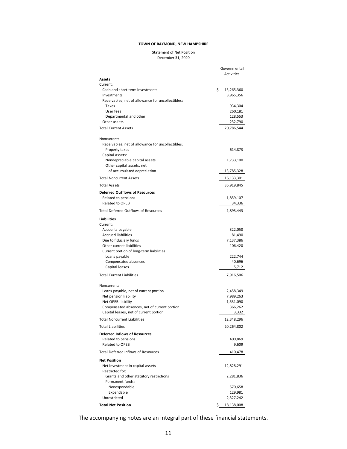#### Statement of Net Position December 31, 2020

| Assets                                                           | Governmental<br><b>Activities</b> |
|------------------------------------------------------------------|-----------------------------------|
| Current:                                                         |                                   |
| Cash and short-term investments<br>Investments                   | \$<br>15,265,360<br>3,965,356     |
| Receivables, net of allowance for uncollectibles:<br>Taxes       | 934,304                           |
| User fees                                                        | 260,181                           |
| Departmental and other                                           | 128,553                           |
| Other assets                                                     | 232,790                           |
| <b>Total Current Assets</b>                                      | 20,786,544                        |
| Noncurrent:<br>Receivables, net of allowance for uncollectibles: |                                   |
| Property taxes                                                   | 614,873                           |
| Capital assets:<br>Nondepreciable capital assets                 | 1,733,100                         |
| Other capital assets, net                                        |                                   |
| of accumulated depreciation                                      | 13,785,328                        |
| <b>Total Noncurrent Assets</b>                                   | 16,133,301                        |
| <b>Total Assets</b>                                              | 36,919,845                        |
| <b>Deferred Outflows of Resources</b>                            |                                   |
| Related to pensions<br><b>Related to OPEB</b>                    | 1,859,107                         |
|                                                                  | 34,336                            |
| <b>Total Deferred Outflows of Resources</b>                      | 1,893,443                         |
| <b>Liabilities</b>                                               |                                   |
| Current:<br>Accounts payable                                     | 322,058                           |
| <b>Accrued liabilities</b>                                       | 81,490                            |
| Due to fiduciary funds                                           | 7,137,386                         |
| Other current liabilities                                        | 106,420                           |
| Current portion of long-term liabilities:                        |                                   |
| Loans payable                                                    | 222,744                           |
| Compensated absences<br>Capital leases                           | 40,696<br>5,712                   |
| <b>Total Current Liabilities</b>                                 | 7,916,506                         |
|                                                                  |                                   |
| Noncurrent:                                                      |                                   |
| Loans payable, net of current portion<br>Net pension liability   | 2,458,349<br>7,989,263            |
| Net OPEB liability                                               | 1,531,090                         |
| Compensated absences, net of current portion                     | 366,262                           |
| Capital leases, net of current portion                           | 3,332                             |
| <b>Total Noncurrent Liabilities</b>                              | 12,348,296                        |
| <b>Total Liabilities</b>                                         | 20,264,802                        |
| <b>Deferred Inflows of Resources</b>                             |                                   |
| Related to pensions<br><b>Related to OPEB</b>                    | 400,869<br>9,609                  |
| <b>Total Deferred Inflows of Resources</b>                       | 410,478                           |
| <b>Net Position</b>                                              |                                   |
| Net investment in capital assets<br>Restricted for:              | 12,828,291                        |
| Grants and other statutory restrictions<br>Permanent funds:      | 2,281,836                         |
| Nonexpendable                                                    | 570,658                           |
| Expendable                                                       | 129,981                           |
| Unrestricted                                                     | 2,327,242                         |
| <b>Total Net Position</b>                                        | \$<br>18,138,008                  |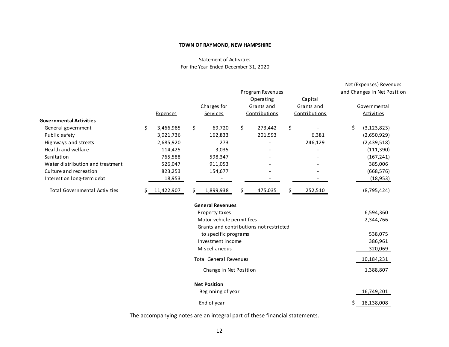#### Statement of Activities For the Year Ended December 31, 2020

|                                      |     |                 |     |                                         |    |               |    |                             | Net (Expenses) Revenues |
|--------------------------------------|-----|-----------------|-----|-----------------------------------------|----|---------------|----|-----------------------------|-------------------------|
|                                      |     |                 |     | Program Revenues                        |    |               |    | and Changes in Net Position |                         |
|                                      |     |                 |     |                                         |    | Operating     |    | Capital                     |                         |
|                                      |     |                 |     | Charges for                             |    | Grants and    |    | Grants and                  | Governmental            |
|                                      |     | <b>Expenses</b> |     | Services                                |    | Contributions |    | Contributions               | <b>Activities</b>       |
| <b>Governmental Activities</b>       |     |                 |     |                                         |    |               |    |                             |                         |
| General government                   | \$  | 3,466,985       | \$  | 69,720                                  | \$ | 273,442       | \$ |                             | \$<br>(3, 123, 823)     |
| Public safety                        |     | 3,021,736       |     | 162,833                                 |    | 201,593       |    | 6,381                       | (2,650,929)             |
| Highways and streets                 |     | 2,685,920       |     | 273                                     |    |               |    | 246,129                     | (2,439,518)             |
| Health and welfare                   |     | 114,425         |     | 3,035                                   |    |               |    |                             | (111,390)               |
| Sanitation                           |     | 765,588         |     | 598,347                                 |    |               |    |                             | (167, 241)              |
| Water distribution and treatment     |     | 526,047         |     | 911,053                                 |    |               |    |                             | 385,006                 |
| Culture and recreation               |     | 823,253         |     | 154,677                                 |    |               |    |                             | (668, 576)              |
| Interest on long-term debt           |     | 18,953          |     |                                         |    |               |    |                             | (18, 953)               |
| <b>Total Governmental Activities</b> | \$. | 11,422,907      | \$. | 1,899,938                               | \$ | 475,035       | S  | 252,510                     | (8,795,424)             |
|                                      |     |                 |     | <b>General Revenues</b>                 |    |               |    |                             |                         |
|                                      |     |                 |     | Property taxes                          |    |               |    |                             | 6,594,360               |
|                                      |     |                 |     | Motor vehicle permit fees               |    |               |    |                             | 2,344,766               |
|                                      |     |                 |     | Grants and contributions not restricted |    |               |    |                             |                         |
|                                      |     |                 |     | to specific programs                    |    |               |    |                             | 538,075                 |
|                                      |     |                 |     | Investment income                       |    |               |    |                             | 386,961                 |
|                                      |     |                 |     | Miscellaneous                           |    |               |    |                             | 320,069                 |
|                                      |     |                 |     | <b>Total General Revenues</b>           |    |               |    |                             | 10,184,231              |
|                                      |     |                 |     | Change in Net Position                  |    |               |    |                             | 1,388,807               |
|                                      |     |                 |     | <b>Net Position</b>                     |    |               |    |                             |                         |
|                                      |     |                 |     | Beginning of year                       |    |               |    |                             | 16,749,201              |
|                                      |     |                 |     | End of year                             |    |               |    |                             | \$<br>18,138,008        |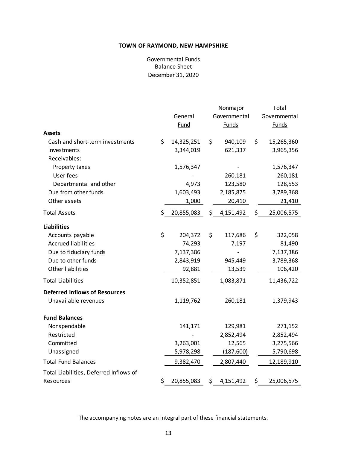Balance Sheet December 31, 2020 Governmental Funds

|                                        | General<br>Fund  | Nonmajor<br>Governmental<br>Funds |           |     | Total<br>Governmental<br>Funds |
|----------------------------------------|------------------|-----------------------------------|-----------|-----|--------------------------------|
| <b>Assets</b>                          |                  |                                   |           |     |                                |
| Cash and short-term investments        | \$<br>14,325,251 | \$                                | 940,109   | \$  | 15,265,360                     |
| Investments                            | 3,344,019        |                                   | 621,337   |     | 3,965,356                      |
| Receivables:                           |                  |                                   |           |     | 1,576,347                      |
| Property taxes<br>User fees            | 1,576,347        |                                   | 260,181   |     | 260,181                        |
| Departmental and other                 | 4,973            |                                   | 123,580   |     | 128,553                        |
| Due from other funds                   | 1,603,493        |                                   | 2,185,875 |     | 3,789,368                      |
| Other assets                           | 1,000            |                                   | 20,410    |     | 21,410                         |
|                                        |                  |                                   |           |     |                                |
| <b>Total Assets</b>                    | \$<br>20,855,083 | \$                                | 4,151,492 | \$  | 25,006,575                     |
| <b>Liabilities</b>                     |                  |                                   |           |     |                                |
| Accounts payable                       | \$<br>204,372    | \$                                | 117,686   | \$  | 322,058                        |
| <b>Accrued liabilities</b>             | 74,293           |                                   | 7,197     |     | 81,490                         |
| Due to fiduciary funds                 | 7,137,386        |                                   |           |     | 7,137,386                      |
| Due to other funds                     | 2,843,919        |                                   | 945,449   |     | 3,789,368                      |
| <b>Other liabilities</b>               | 92,881           |                                   | 13,539    |     | 106,420                        |
| <b>Total Liabilities</b>               | 10,352,851       |                                   | 1,083,871 |     | 11,436,722                     |
| <b>Deferred Inflows of Resources</b>   |                  |                                   |           |     |                                |
| Unavailable revenues                   | 1,119,762        |                                   | 260,181   |     | 1,379,943                      |
| <b>Fund Balances</b>                   |                  |                                   |           |     |                                |
| Nonspendable                           | 141,171          |                                   | 129,981   |     | 271,152                        |
| Restricted                             |                  |                                   | 2,852,494 |     | 2,852,494                      |
| Committed                              | 3,263,001        |                                   | 12,565    |     | 3,275,566                      |
| Unassigned                             | 5,978,298        |                                   | (187,600) |     | 5,790,698                      |
| <b>Total Fund Balances</b>             | 9,382,470        |                                   | 2,807,440 |     | 12,189,910                     |
| Total Liabilities, Deferred Inflows of |                  |                                   |           |     |                                |
| Resources                              | \$<br>20,855,083 | \$                                | 4,151,492 | \$. | 25,006,575                     |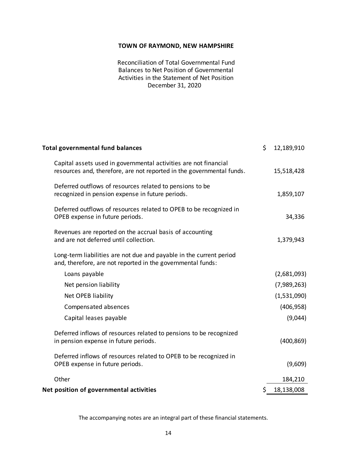December 31, 2020 Reconciliation of Total Governmental Fund Balances to Net Position of Governmental Activities in the Statement of Net Position

| <b>Total governmental fund balances</b>                                                                                                   | \$<br>12,189,910 |
|-------------------------------------------------------------------------------------------------------------------------------------------|------------------|
| Capital assets used in governmental activities are not financial<br>resources and, therefore, are not reported in the governmental funds. | 15,518,428       |
| Deferred outflows of resources related to pensions to be<br>recognized in pension expense in future periods.                              | 1,859,107        |
| Deferred outflows of resources related to OPEB to be recognized in<br>OPEB expense in future periods.                                     | 34,336           |
| Revenues are reported on the accrual basis of accounting<br>and are not deferred until collection.                                        | 1,379,943        |
| Long-term liabilities are not due and payable in the current period<br>and, therefore, are not reported in the governmental funds:        |                  |
| Loans payable                                                                                                                             | (2,681,093)      |
| Net pension liability                                                                                                                     | (7,989,263)      |
| Net OPEB liability                                                                                                                        | (1,531,090)      |
| Compensated absences                                                                                                                      | (406, 958)       |
| Capital leases payable                                                                                                                    | (9,044)          |
| Deferred inflows of resources related to pensions to be recognized<br>in pension expense in future periods.                               | (400, 869)       |
| Deferred inflows of resources related to OPEB to be recognized in<br>OPEB expense in future periods.                                      | (9,609)          |
| Other                                                                                                                                     | 184,210          |
| Net position of governmental activities                                                                                                   | \$<br>18,138,008 |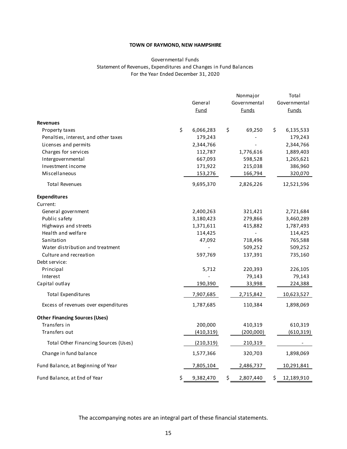#### Governmental Funds Statement of Revenues, Expenditures and Changes in Fund Balances For the Year Ended December 31, 2020

|                                       | Nonmajor        |    |              | Total |              |  |
|---------------------------------------|-----------------|----|--------------|-------|--------------|--|
|                                       | General         |    | Governmental |       | Governmental |  |
|                                       | Fund            |    | <u>Funds</u> |       | <b>Funds</b> |  |
| <b>Revenues</b>                       |                 |    |              |       |              |  |
| Property taxes                        | \$<br>6,066,283 | \$ | 69,250       | \$    | 6,135,533    |  |
| Penalties, interest, and other taxes  | 179,243         |    |              |       | 179,243      |  |
| Licenses and permits                  | 2,344,766       |    |              |       | 2,344,766    |  |
| Charges for services                  | 112,787         |    | 1,776,616    |       | 1,889,403    |  |
| Intergovernmental                     | 667,093         |    | 598,528      |       | 1,265,621    |  |
| Investment income                     | 171,922         |    | 215,038      |       | 386,960      |  |
| Miscellaneous                         | 153,276         |    | 166,794      |       | 320,070      |  |
| <b>Total Revenues</b>                 | 9,695,370       |    | 2,826,226    |       | 12,521,596   |  |
| <b>Expenditures</b>                   |                 |    |              |       |              |  |
| Current:                              |                 |    |              |       |              |  |
| General government                    | 2,400,263       |    | 321,421      |       | 2,721,684    |  |
| Public safety                         | 3,180,423       |    | 279,866      |       | 3,460,289    |  |
| Highways and streets                  | 1,371,611       |    | 415,882      |       | 1,787,493    |  |
| Health and welfare                    | 114,425         |    |              |       | 114,425      |  |
| Sanitation                            | 47,092          |    | 718,496      |       | 765,588      |  |
| Water distribution and treatment      |                 |    | 509,252      |       | 509,252      |  |
| Culture and recreation                | 597,769         |    | 137,391      |       | 735,160      |  |
| Debt service:                         |                 |    |              |       |              |  |
| Principal                             | 5,712           |    | 220,393      |       | 226,105      |  |
| Interest                              |                 |    | 79,143       |       | 79,143       |  |
| Capital outlay                        | 190,390         |    | 33,998       |       | 224,388      |  |
| <b>Total Expenditures</b>             | 7,907,685       |    | 2,715,842    |       | 10,623,527   |  |
| Excess of revenues over expenditures  | 1,787,685       |    | 110,384      |       | 1,898,069    |  |
| <b>Other Financing Sources (Uses)</b> |                 |    |              |       |              |  |
| Transfers in                          | 200,000         |    | 410,319      |       | 610,319      |  |
| Transfers out                         | (410, 319)      |    | (200,000)    |       | (610, 319)   |  |
| Total Other Financing Sources (Uses)  | (210, 319)      |    | 210,319      |       |              |  |
| Change in fund balance                | 1,577,366       |    | 320,703      |       | 1,898,069    |  |
| Fund Balance, at Beginning of Year    | 7,805,104       |    | 2,486,737    |       | 10,291,841   |  |
| Fund Balance, at End of Year          | \$<br>9,382,470 | \$ | 2,807,440    | \$    | 12,189,910   |  |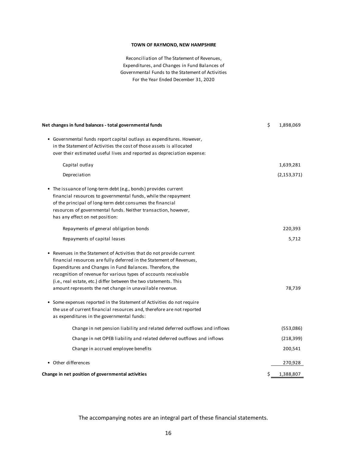Reconciliation of The Statement of Revenues, For the Year Ended December 31, 2020 Expendi tures, and Changes in Fund Balances of Governmental Funds to the Statement of Activities

| Net changes in fund balances - total governmental funds                   | \$<br>1,898,069 |
|---------------------------------------------------------------------------|-----------------|
| • Governmental funds report capital outlays as expenditures. However,     |                 |
| in the Statement of Activities the cost of those assets is allocated      |                 |
| over their estimated useful lives and reported as depreciation expense:   |                 |
| Capital outlay                                                            | 1,639,281       |
| Depreciation                                                              | (2, 153, 371)   |
| • The issuance of long-term debt (e.g., bonds) provides current           |                 |
| financial resources to governmental funds, while the repayment            |                 |
| of the principal of long-term debt consumes the financial                 |                 |
| resources of governmental funds. Neither transaction, however,            |                 |
| has any effect on net position:                                           |                 |
| Repayments of general obligation bonds                                    | 220,393         |
| Repayments of capital leases                                              | 5,712           |
| • Revenues in the Statement of Activities that do not provide current     |                 |
| financial resources are fully deferred in the Statement of Revenues,      |                 |
| Expenditures and Changes in Fund Balances. Therefore, the                 |                 |
| recognition of revenue for various types of accounts receivable           |                 |
| (i.e., real estate, etc.) differ between the two statements. This         |                 |
| amount represents the net change in unavailable revenue.                  | 78,739          |
| Some expenses reported in the Statement of Activities do not require      |                 |
| the use of current financial resources and, therefore are not reported    |                 |
| as expenditures in the governmental funds:                                |                 |
| Change in net pension liability and related deferred outflows and inflows | (553,086)       |
| Change in net OPEB liability and related deferred outflows and inflows    | (218, 399)      |
| Change in accrued employee benefits                                       | 200,541         |
| • Other differences                                                       | 270,928         |
| Change in net position of governmental activities                         | \$<br>1,388,807 |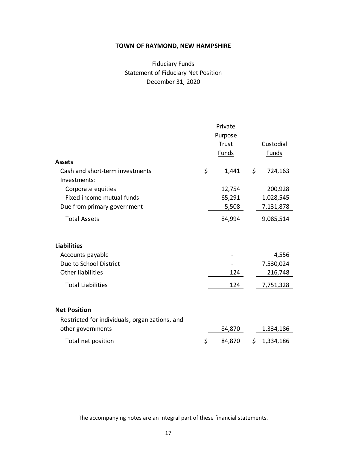# Fiduciary Funds Statement of Fiduciary Net Position December 31, 2020

| <b>Assets</b>                                  | Private<br>Purpose<br>Trust<br><b>Funds</b> |     | Custodial<br><b>Funds</b> |
|------------------------------------------------|---------------------------------------------|-----|---------------------------|
| Cash and short-term investments                | \$<br>1,441                                 | \$  | 724,163                   |
| Investments:                                   |                                             |     |                           |
| Corporate equities                             | 12,754                                      |     | 200,928                   |
| Fixed income mutual funds                      | 65,291                                      |     | 1,028,545                 |
| Due from primary government                    | 5,508                                       |     | 7,131,878                 |
| <b>Total Assets</b>                            | 84,994                                      |     | 9,085,514                 |
| <b>Liabilities</b>                             |                                             |     |                           |
| Accounts payable                               |                                             |     | 4,556                     |
| Due to School District                         |                                             |     | 7,530,024                 |
| <b>Other liabilities</b>                       | 124                                         |     | 216,748                   |
| <b>Total Liabilities</b>                       | 124                                         |     | 7,751,328                 |
| <b>Net Position</b>                            |                                             |     |                           |
| Restricted for individuals, organizations, and |                                             |     |                           |
| other governments                              | 84,870                                      |     | 1,334,186                 |
| Total net position                             | \$<br>84,870                                | \$. | 1,334,186                 |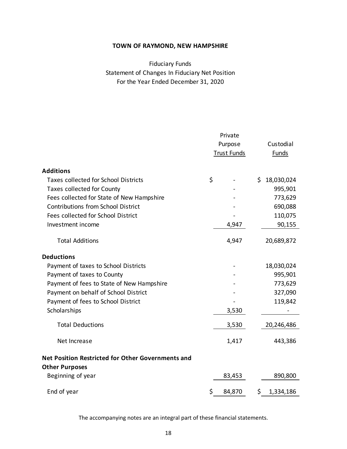For the Year Ended December 31, 2020 Statement of Changes In Fiduciary Net Position Fiduciary Funds

|                                                   | Private            |         |     |              |  |
|---------------------------------------------------|--------------------|---------|-----|--------------|--|
|                                                   |                    | Purpose |     | Custodial    |  |
|                                                   | <b>Trust Funds</b> |         |     | <b>Funds</b> |  |
|                                                   |                    |         |     |              |  |
| <b>Additions</b>                                  |                    |         |     |              |  |
| <b>Taxes collected for School Districts</b>       | \$                 |         |     | \$18,030,024 |  |
| <b>Taxes collected for County</b>                 |                    |         |     | 995,901      |  |
| Fees collected for State of New Hampshire         |                    |         |     | 773,629      |  |
| <b>Contributions from School District</b>         |                    |         |     | 690,088      |  |
| Fees collected for School District                |                    |         |     | 110,075      |  |
| Investment income                                 |                    | 4,947   |     | 90,155       |  |
| <b>Total Additions</b>                            |                    | 4,947   |     | 20,689,872   |  |
| <b>Deductions</b>                                 |                    |         |     |              |  |
| Payment of taxes to School Districts              |                    |         |     | 18,030,024   |  |
| Payment of taxes to County                        |                    |         |     | 995,901      |  |
| Payment of fees to State of New Hampshire         |                    |         |     | 773,629      |  |
| Payment on behalf of School District              |                    |         |     | 327,090      |  |
| Payment of fees to School District                |                    |         |     | 119,842      |  |
| Scholarships                                      |                    | 3,530   |     |              |  |
| <b>Total Deductions</b>                           |                    | 3,530   |     | 20,246,486   |  |
| Net Increase                                      |                    | 1,417   |     | 443,386      |  |
| Net Position Restricted for Other Governments and |                    |         |     |              |  |
| <b>Other Purposes</b>                             |                    |         |     |              |  |
| Beginning of year                                 |                    | 83,453  |     | 890,800      |  |
| End of year                                       | \$                 | 84,870  | \$. | 1,334,186    |  |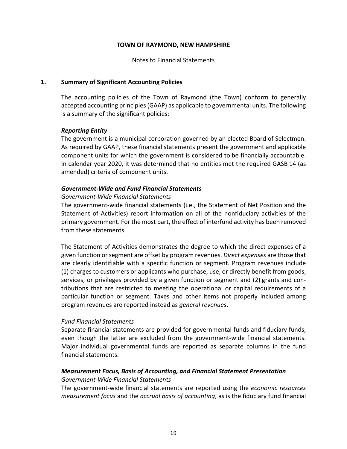Notes to Financial Statements

#### **1. Summary of Significant Accounting Policies**

The accounting policies of the Town of Raymond (the Town) conform to generally accepted accounting principles (GAAP) as applicable to governmental units. The following is a summary of the significant policies:

#### *Reporting Entity*

The government is a municipal corporation governed by an elected Board of Selectmen. As required by GAAP, these financial statements present the government and applicable component units for which the government is considered to be financially accountable. In calendar year 2020, it was determined that no entities met the required GASB 14 (as amended) criteria of component units.

# *Government‐Wide and Fund Financial Statements*

#### *Government‐Wide Financial Statements*

The government‐wide financial statements (i.e., the Statement of Net Position and the Statement of Activities) report information on all of the nonfiduciary activities of the primary government. For the most part, the effect of interfund activity has been removed from these statements.

The Statement of Activities demonstrates the degree to which the direct expenses of a given function or segment are offset by program revenues. *Direct expenses* are those that are clearly identifiable with a specific function or segment. Program revenues include (1) charges to customers or applicants who purchase, use, or directly benefit from goods, services, or privileges provided by a given function or segment and (2) grants and con‐ tributions that are restricted to meeting the operational or capital requirements of a particular function or segment. Taxes and other items not properly included among program revenues are reported instead as *general revenues*.

# *Fund Financial Statements*

Separate financial statements are provided for governmental funds and fiduciary funds, even though the latter are excluded from the government-wide financial statements. Major individual governmental funds are reported as separate columns in the fund financial statements.

# *Measurement Focus, Basis of Accounting, and Financial Statement Presentation Government‐Wide Financial Statements*

The government‐wide financial statements are reported using the *economic resources measurement focus* and the *accrual basis of accounting*, as is the fiduciary fund financial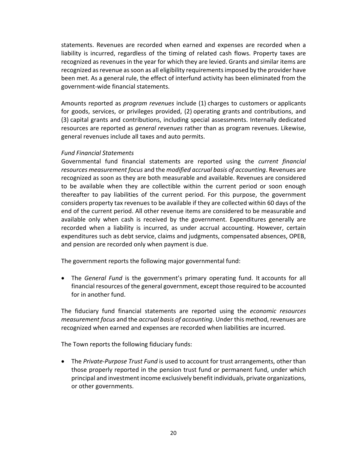statements. Revenues are recorded when earned and expenses are recorded when a liability is incurred, regardless of the timing of related cash flows. Property taxes are recognized as revenues in the year for which they are levied. Grants and similar items are recognized as revenue as soon as all eligibility requirements imposed by the provider have been met. As a general rule, the effect of interfund activity has been eliminated from the government‐wide financial statements.

Amounts reported as *program revenues* include (1) charges to customers or applicants for goods, services, or privileges provided, (2) operating grants and contributions, and (3) capital grants and contributions, including special assessments. Internally dedicated resources are reported as *general revenues* rather than as program revenues. Likewise, general revenues include all taxes and auto permits.

#### *Fund Financial Statements*

Governmental fund financial statements are reported using the *current financial resources measurement focus* and the *modified accrual basis of accounting*. Revenues are recognized as soon as they are both measurable and available. Revenues are considered to be available when they are collectible within the current period or soon enough thereafter to pay liabilities of the current period. For this purpose, the government considers property tax revenues to be available if they are collected within 60 days of the end of the current period. All other revenue items are considered to be measurable and available only when cash is received by the government. Expenditures generally are recorded when a liability is incurred, as under accrual accounting. However, certain expenditures such as debt service, claims and judgments, compensated absences, OPEB, and pension are recorded only when payment is due.

The government reports the following major governmental fund:

• The *General Fund* is the government's primary operating fund. It accounts for all financial resources of the general government, except those required to be accounted for in another fund.

The fiduciary fund financial statements are reported using the *economic resources measurement focus* and the *accrual basis of accounting*. Under this method, revenues are recognized when earned and expenses are recorded when liabilities are incurred.

The Town reports the following fiduciary funds:

● The *Private-Purpose Trust Fund* is used to account for trust arrangements, other than those properly reported in the pension trust fund or permanent fund, under which principal and investment income exclusively benefit individuals, private organizations, or other governments.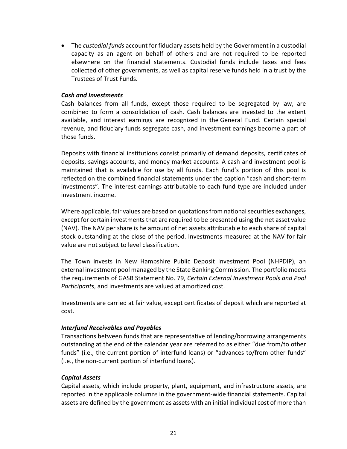The *custodial funds* account for fiduciary assets held by the Government in a custodial capacity as an agent on behalf of others and are not required to be reported elsewhere on the financial statements. Custodial funds include taxes and fees collected of other governments, as well as capital reserve funds held in a trust by the Trustees of Trust Funds.

# *Cash and Investments*

Cash balances from all funds, except those required to be segregated by law, are combined to form a consolidation of cash. Cash balances are invested to the extent available, and interest earnings are recognized in the General Fund. Certain special revenue, and fiduciary funds segregate cash, and investment earnings become a part of those funds.

Deposits with financial institutions consist primarily of demand deposits, certificates of deposits, savings accounts, and money market accounts. A cash and investment pool is maintained that is available for use by all funds. Each fund's portion of this pool is reflected on the combined financial statements under the caption "cash and short‐term investments". The interest earnings attributable to each fund type are included under investment income.

Where applicable, fair values are based on quotations from national securities exchanges, except for certain investments that are required to be presented using the net asset value (NAV). The NAV per share is he amount of net assets attributable to each share of capital stock outstanding at the close of the period. Investments measured at the NAV for fair value are not subject to level classification.

The Town invests in New Hampshire Public Deposit Investment Pool (NHPDIP), an external investment pool managed by the State Banking Commission. The portfolio meets the requirements of GASB Statement No. 79, *Certain External Investment Pools and Pool Participants*, and investments are valued at amortized cost.

Investments are carried at fair value, except certificates of deposit which are reported at cost.

#### *Interfund Receivables and Payables*

Transactions between funds that are representative of lending/borrowing arrangements outstanding at the end of the calendar year are referred to as either "due from/to other funds" (i.e., the current portion of interfund loans) or "advances to/from other funds" (i.e., the non‐current portion of interfund loans).

# *Capital Assets*

Capital assets, which include property, plant, equipment, and infrastructure assets, are reported in the applicable columns in the government‐wide financial statements. Capital assets are defined by the government as assets with an initial individual cost of more than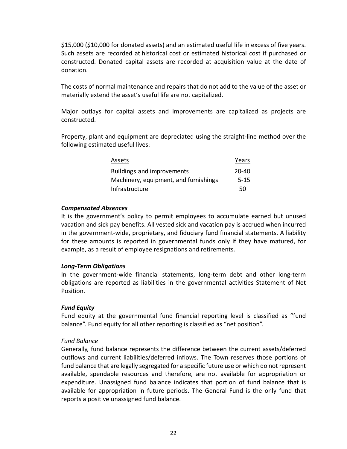\$15,000 (\$10,000 for donated assets) and an estimated useful life in excess of five years. Such assets are recorded at historical cost or estimated historical cost if purchased or constructed. Donated capital assets are recorded at acquisition value at the date of donation.

The costs of normal maintenance and repairs that do not add to the value of the asset or materially extend the asset's useful life are not capitalized.

Major outlays for capital assets and improvements are capitalized as projects are constructed.

Property, plant and equipment are depreciated using the straight‐line method over the following estimated useful lives:

| Assets                                | Years     |
|---------------------------------------|-----------|
| <b>Buildings and improvements</b>     | $20 - 40$ |
| Machinery, equipment, and furnishings | $5 - 15$  |
| Infrastructure                        | 50        |

#### *Compensated Absences*

It is the government's policy to permit employees to accumulate earned but unused vacation and sick pay benefits. All vested sick and vacation pay is accrued when incurred in the government‐wide, proprietary, and fiduciary fund financial statements. A liability for these amounts is reported in governmental funds only if they have matured, for example, as a result of employee resignations and retirements.

# *Long‐Term Obligations*

In the government‐wide financial statements, long‐term debt and other long‐term obligations are reported as liabilities in the governmental activities Statement of Net Position.

# *Fund Equity*

Fund equity at the governmental fund financial reporting level is classified as "fund balance". Fund equity for all other reporting is classified as "net position".

# *Fund Balance*

Generally, fund balance represents the difference between the current assets/deferred outflows and current liabilities/deferred inflows. The Town reserves those portions of fund balance that are legally segregated for a specific future use or which do not represent available, spendable resources and therefore, are not available for appropriation or expenditure. Unassigned fund balance indicates that portion of fund balance that is available for appropriation in future periods. The General Fund is the only fund that reports a positive unassigned fund balance.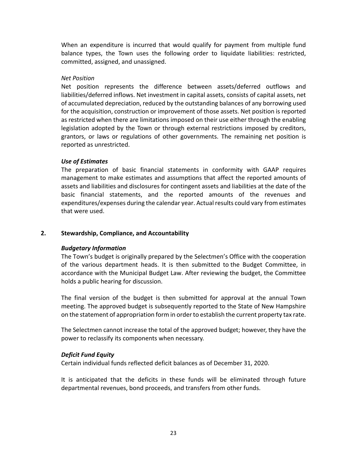When an expenditure is incurred that would qualify for payment from multiple fund balance types, the Town uses the following order to liquidate liabilities: restricted, committed, assigned, and unassigned.

#### *Net Position*

Net position represents the difference between assets/deferred outflows and liabilities/deferred inflows. Net investment in capital assets, consists of capital assets, net of accumulated depreciation, reduced by the outstanding balances of any borrowing used for the acquisition, construction or improvement of those assets. Net position is reported as restricted when there are limitations imposed on their use either through the enabling legislation adopted by the Town or through external restrictions imposed by creditors, grantors, or laws or regulations of other governments. The remaining net position is reported as unrestricted.

# *Use of Estimates*

The preparation of basic financial statements in conformity with GAAP requires management to make estimates and assumptions that affect the reported amounts of assets and liabilities and disclosures for contingent assets and liabilities at the date of the basic financial statements, and the reported amounts of the revenues and expenditures/expenses during the calendar year. Actual results could vary from estimates that were used.

# **2. Stewardship, Compliance, and Accountability**

# *Budgetary Information*

The Town's budget is originally prepared by the Selectmen's Office with the cooperation of the various department heads. It is then submitted to the Budget Committee, in accordance with the Municipal Budget Law. After reviewing the budget, the Committee holds a public hearing for discussion.

The final version of the budget is then submitted for approval at the annual Town meeting. The approved budget is subsequently reported to the State of New Hampshire on the statement of appropriation form in order to establish the current property tax rate.

The Selectmen cannot increase the total of the approved budget; however, they have the power to reclassify its components when necessary.

#### *Deficit Fund Equity*

Certain individual funds reflected deficit balances as of December 31, 2020.

It is anticipated that the deficits in these funds will be eliminated through future departmental revenues, bond proceeds, and transfers from other funds.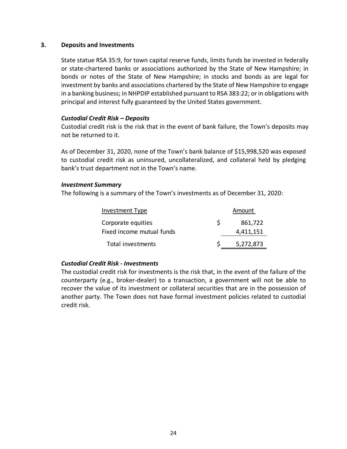#### **3. Deposits and Investments**

State statue RSA 35:9, for town capital reserve funds, limits funds be invested in federally or state-chartered banks or associations authorized by the State of New Hampshire; in bonds or notes of the State of New Hampshire; in stocks and bonds as are legal for investment by banks and associations chartered by the State of New Hampshire to engage in a banking business; in NHPDIP established pursuant to RSA 383:22; or in obligations with principal and interest fully guaranteed by the United States government.

# *Custodial Credit Risk – Deposits*

Custodial credit risk is the risk that in the event of bank failure, the Town's deposits may not be returned to it.

As of December 31, 2020, none of the Town's bank balance of \$15,998,520 was exposed to custodial credit risk as uninsured, uncollateralized, and collateral held by pledging bank's trust department not in the Town's name.

#### *Investment Summary*

The following is a summary of the Town's investments as of December 31, 2020:

| Investment Type           |    | Amount    |  |  |
|---------------------------|----|-----------|--|--|
| Corporate equities        | S. | 861,722   |  |  |
| Fixed income mutual funds |    | 4,411,151 |  |  |
| Total investments         |    | 5,272,873 |  |  |

# *Custodial Credit Risk ‐ Investments*

The custodial credit risk for investments is the risk that, in the event of the failure of the counterparty (e.g., broker‐dealer) to a transaction, a government will not be able to recover the value of its investment or collateral securities that are in the possession of another party. The Town does not have formal investment policies related to custodial credit risk.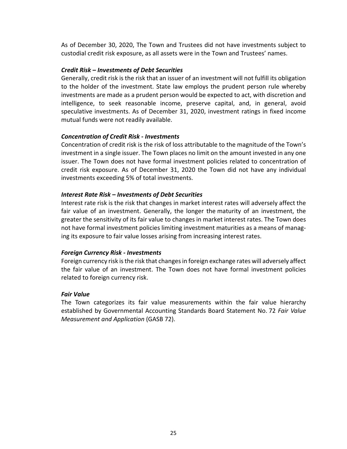As of December 30, 2020, The Town and Trustees did not have investments subject to custodial credit risk exposure, as all assets were in the Town and Trustees' names.

#### *Credit Risk – Investments of Debt Securities*

Generally, credit risk is the risk that an issuer of an investment will not fulfill its obligation to the holder of the investment. State law employs the prudent person rule whereby investments are made as a prudent person would be expected to act, with discretion and intelligence, to seek reasonable income, preserve capital, and, in general, avoid speculative investments. As of December 31, 2020, investment ratings in fixed income mutual funds were not readily available.

#### *Concentration of Credit Risk ‐ Investments*

Concentration of credit risk is the risk of loss attributable to the magnitude of the Town's investment in a single issuer. The Town places no limit on the amount invested in any one issuer. The Town does not have formal investment policies related to concentration of credit risk exposure. As of December 31, 2020 the Town did not have any individual investments exceeding 5% of total investments.

# *Interest Rate Risk – Investments of Debt Securities*

Interest rate risk is the risk that changes in market interest rates will adversely affect the fair value of an investment. Generally, the longer the maturity of an investment, the greater the sensitivity of its fair value to changes in market interest rates. The Town does not have formal investment policies limiting investment maturities as a means of manag‐ ing its exposure to fair value losses arising from increasing interest rates.

# *Foreign Currency Risk ‐ Investments*

Foreign currency risk is the risk that changes in foreign exchange rates will adversely affect the fair value of an investment. The Town does not have formal investment policies related to foreign currency risk.

#### *Fair Value*

The Town categorizes its fair value measurements within the fair value hierarchy established by Governmental Accounting Standards Board Statement No. 72 *Fair Value Measurement and Application* (GASB 72).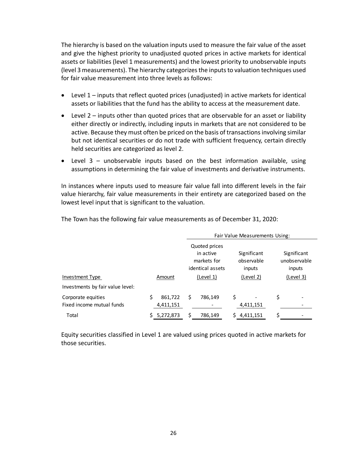The hierarchy is based on the valuation inputs used to measure the fair value of the asset and give the highest priority to unadjusted quoted prices in active markets for identical assets or liabilities (level 1 measurements) and the lowest priority to unobservable inputs (level 3 measurements). The hierarchy categorizes the inputs to valuation techniques used for fair value measurement into three levels as follows:

- Level 1 inputs that reflect quoted prices (unadjusted) in active markets for identical assets or liabilities that the fund has the ability to access at the measurement date.
- Level 2 inputs other than quoted prices that are observable for an asset or liability either directly or indirectly, including inputs in markets that are not considered to be active. Because they must often be priced on the basis of transactions involving similar but not identical securities or do not trade with sufficient frequency, certain directly held securities are categorized as level 2.
- $\bullet$  Level 3 unobservable inputs based on the best information available, using assumptions in determining the fair value of investments and derivative instruments.

In instances where inputs used to measure fair value fall into different levels in the fair value hierarchy, fair value measurements in their entirety are categorized based on the lowest level input that is significant to the valuation.

|                                  |                  | Fair Value Measurements Using:                                |                                     |                                       |  |  |  |  |
|----------------------------------|------------------|---------------------------------------------------------------|-------------------------------------|---------------------------------------|--|--|--|--|
|                                  |                  | Quoted prices<br>in active<br>markets for<br>identical assets | Significant<br>observable<br>inputs | Significant<br>unobservable<br>inputs |  |  |  |  |
| <b>Investment Type</b>           | Amount           | (Level 1)                                                     | (Level 2)                           | (Level 3)                             |  |  |  |  |
| Investments by fair value level: |                  |                                                               |                                     |                                       |  |  |  |  |
| Corporate equities               | 861,722<br>S     | \$<br>786,149                                                 | \$                                  | \$                                    |  |  |  |  |
| Fixed income mutual funds        | 4,411,151        |                                                               | 4,411,151                           |                                       |  |  |  |  |
| Total                            | 5,272,873<br>\$. | \$<br>786,149                                                 | 4,411,151                           | Ś                                     |  |  |  |  |

The Town has the following fair value measurements as of December 31, 2020:

Equity securities classified in Level 1 are valued using prices quoted in active markets for those securities.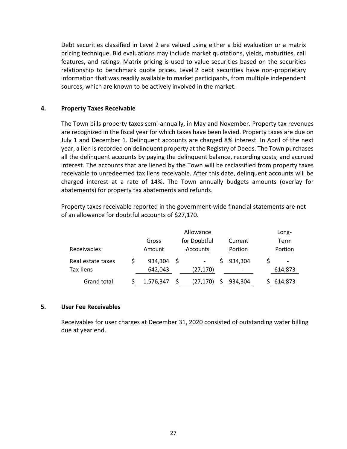Debt securities classified in Level 2 are valued using either a bid evaluation or a matrix pricing technique. Bid evaluations may include market quotations, yields, maturities, call features, and ratings. Matrix pricing is used to value securities based on the securities relationship to benchmark quote prices. Level 2 debt securities have non‐proprietary information that was readily available to market participants, from multiple independent sources, which are known to be actively involved in the market.

#### **4. Property Taxes Receivable**

The Town bills property taxes semi‐annually, in May and November. Property tax revenues are recognized in the fiscal year for which taxes have been levied. Property taxes are due on July 1 and December 1. Delinquent accounts are charged 8% interest. In April of the next year, a lien is recorded on delinquent property at the Registry of Deeds. The Town purchases all the delinquent accounts by paying the delinquent balance, recording costs, and accrued interest. The accounts that are liened by the Town will be reclassified from property taxes receivable to unredeemed tax liens receivable. After this date, delinquent accounts will be charged interest at a rate of 14%. The Town annually budgets amounts (overlay for abatements) for property tax abatements and refunds.

Property taxes receivable reported in the government‐wide financial statements are net of an allowance for doubtful accounts of \$27,170.

|                   |        |           | Long- |              |         |         |                          |
|-------------------|--------|-----------|-------|--------------|---------|---------|--------------------------|
|                   |        | Gross     |       | for Doubtful |         | Current | Term                     |
| Receivables:      | Amount |           |       | Accounts     | Portion | Portion |                          |
| Real estate taxes |        | 934,304   | -S    |              |         | 934,304 | $\overline{\phantom{a}}$ |
| <b>Tax liens</b>  |        | 642,043   |       | (27,170)     |         | -       | 614,873                  |
| Grand total       |        | 1,576,347 |       | (27,170)     |         | 934.304 | 614,873                  |

#### **5. User Fee Receivables**

Receivables for user charges at December 31, 2020 consisted of outstanding water billing due at year end.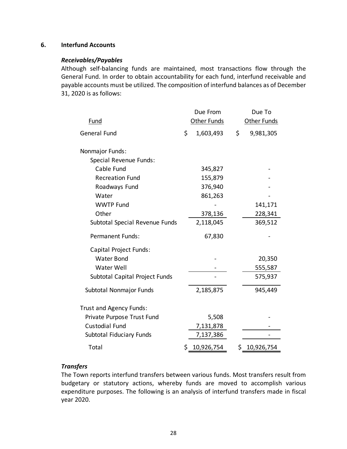# **6. Interfund Accounts**

#### *Receivables/Payables*

Although self‐balancing funds are maintained, most transactions flow through the General Fund. In order to obtain accountability for each fund, interfund receivable and payable accounts must be utilized. The composition of interfund balances as of December 31, 2020 is as follows:

|                                | Due From         | Due To |             |  |
|--------------------------------|------------------|--------|-------------|--|
| Fund                           | Other Funds      |        | Other Funds |  |
| <b>General Fund</b>            | \$<br>1,603,493  | \$     | 9,981,305   |  |
| Nonmajor Funds:                |                  |        |             |  |
| Special Revenue Funds:         |                  |        |             |  |
| Cable Fund                     | 345,827          |        |             |  |
| <b>Recreation Fund</b>         | 155,879          |        |             |  |
| Roadways Fund                  | 376,940          |        |             |  |
| Water                          | 861,263          |        |             |  |
| <b>WWTP Fund</b>               |                  |        | 141,171     |  |
| Other                          | 378,136          |        | 228,341     |  |
| Subtotal Special Revenue Funds | 2,118,045        |        | 369,512     |  |
| <b>Permanent Funds:</b>        | 67,830           |        |             |  |
| Capital Project Funds:         |                  |        |             |  |
| <b>Water Bond</b>              |                  |        | 20,350      |  |
| Water Well                     |                  |        | 555,587     |  |
| Subtotal Capital Project Funds |                  |        | 575,937     |  |
| Subtotal Nonmajor Funds        | 2,185,875        |        | 945,449     |  |
| Trust and Agency Funds:        |                  |        |             |  |
| Private Purpose Trust Fund     | 5,508            |        |             |  |
| <b>Custodial Fund</b>          | 7,131,878        |        |             |  |
| Subtotal Fiduciary Funds       | 7,137,386        |        |             |  |
| Total                          | \$<br>10,926,754 | \$     | 10,926,754  |  |

# *Transfers*

The Town reports interfund transfers between various funds. Most transfers result from budgetary or statutory actions, whereby funds are moved to accomplish various expenditure purposes. The following is an analysis of interfund transfers made in fiscal year 2020.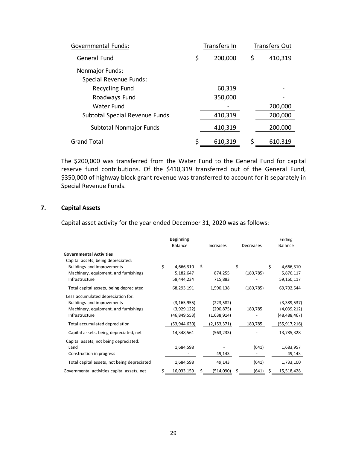| Governmental Funds:            | Transfers In  |    | Transfers Out |
|--------------------------------|---------------|----|---------------|
| <b>General Fund</b>            | \$<br>200,000 | \$ | 410,319       |
| Nonmajor Funds:                |               |    |               |
| Special Revenue Funds:         |               |    |               |
| Recycling Fund                 | 60,319        |    |               |
| Roadways Fund                  | 350,000       |    |               |
| Water Fund                     |               |    | 200,000       |
| Subtotal Special Revenue Funds | 410,319       |    | 200,000       |
| Subtotal Nonmajor Funds        | 410,319       |    | 200,000       |
| Grand Total                    | \$<br>610,319 | Ś  | 610,319       |

The \$200,000 was transferred from the Water Fund to the General Fund for capital reserve fund contributions. Of the \$410,319 transferred out of the General Fund, \$350,000 of highway block grant revenue was transferred to account for it separately in Special Revenue Funds.

# **7. Capital Assets**

Capital asset activity for the year ended December 31, 2020 was as follows:

|                                             | Beginning        |    |             |             | Ending           |
|---------------------------------------------|------------------|----|-------------|-------------|------------------|
|                                             | <b>Balance</b>   |    | Increases   | Decreases   | <b>Balance</b>   |
| <b>Governmental Activities</b>              |                  |    |             |             |                  |
| Capital assets, being depreciated:          |                  |    |             |             |                  |
| Buildings and improvements                  | \$<br>4,666,310  | Ŝ. |             | \$          | \$<br>4,666,310  |
| Machinery, equipment, and furnishings       | 5,182,647        |    | 874,255     | (180, 785)  | 5,876,117        |
| Infrastructure                              | 58,444,234       |    | 715,883     |             | 59,160,117       |
| Total capital assets, being depreciated     | 68,293,191       |    | 1,590,138   | (180, 785)  | 69,702,544       |
| Less accumulated depreciation for:          |                  |    |             |             |                  |
| Buildings and improvements                  | (3, 165, 955)    |    | (223, 582)  |             | (3,389,537)      |
| Machinery, equipment, and furnishings       | (3,929,122)      |    | (290, 875)  | 180,785     | (4,039,212)      |
| Infrastructure                              | (46,849,553)     |    | (1,638,914) |             | (48,488,467)     |
| Total accumulated depreciation              | (53,944,630)     |    | (2,153,371) | 180,785     | (55, 917, 216)   |
| Capital assets, being depreciated, net      | 14,348,561       |    | (563, 233)  |             | 13,785,328       |
| Capital assets, not being depreciated:      |                  |    |             |             |                  |
| Land                                        | 1,684,598        |    |             | (641)       | 1,683,957        |
| Construction in progress                    |                  |    | 49,143      |             | 49,143           |
| Total capital assets, not being depreciated | 1,684,598        |    | 49,143      | (641)       | 1,733,100        |
| Governmental activities capital assets, net | \$<br>16,033,159 | S  | (514,090)   | \$<br>(641) | \$<br>15,518,428 |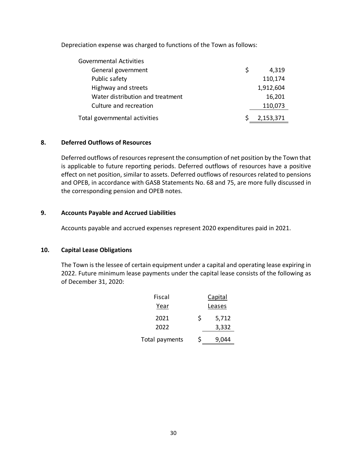Depreciation expense was charged to functions of the Town as follows:

| <b>Governmental Activities</b>   |   |           |
|----------------------------------|---|-----------|
| General government               | S | 4,319     |
| Public safety                    |   | 110,174   |
| Highway and streets              |   | 1,912,604 |
| Water distribution and treatment |   | 16,201    |
| Culture and recreation           |   | 110,073   |
| Total governmental activities    |   | 2,153,371 |

# **8. Deferred Outflows of Resources**

Deferred outflows of resources represent the consumption of net position by the Town that is applicable to future reporting periods. Deferred outflows of resources have a positive effect on net position, similar to assets. Deferred outflows of resources related to pensions and OPEB, in accordance with GASB Statements No. 68 and 75, are more fully discussed in the corresponding pension and OPEB notes.

# **9. Accounts Payable and Accrued Liabilities**

Accounts payable and accrued expenses represent 2020 expenditures paid in 2021.

# **10. Capital Lease Obligations**

The Town is the lessee of certain equipment under a capital and operating lease expiring in 2022. Future minimum lease payments under the capital lease consists of the following as of December 31, 2020:

| Fiscal         | Capital |       |  |  |  |  |
|----------------|---------|-------|--|--|--|--|
| Year           | Leases  |       |  |  |  |  |
| 2021           | Ś       | 5,712 |  |  |  |  |
| 2022           |         | 3,332 |  |  |  |  |
| Total payments | Ś       | 9,044 |  |  |  |  |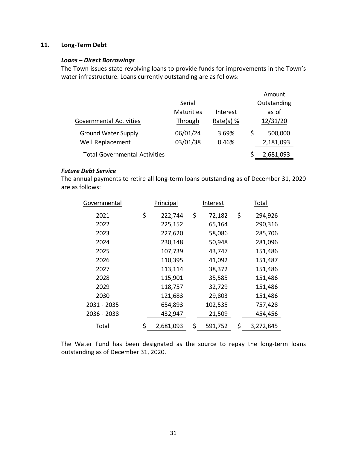# **11. Long‐Term Debt**

#### *Loans – Direct Borrowings*

The Town issues state revolving loans to provide funds for improvements in the Town's water infrastructure. Loans currently outstanding are as follows:

|                   |             |   | Amount      |
|-------------------|-------------|---|-------------|
| Serial            |             |   | Outstanding |
| <b>Maturities</b> | Interest    |   | as of       |
| Through           | Rate(s) $%$ |   | 12/31/20    |
| 06/01/24          | 3.69%       | S | 500,000     |
| 03/01/38          | 0.46%       |   | 2,181,093   |
|                   |             |   | 2,681,093   |
|                   |             |   |             |

#### *Future Debt Service*

The annual payments to retire all long‐term loans outstanding as of December 31, 2020 are as follows:

| Governmental |    | Principal | Interest      |    | Total     |
|--------------|----|-----------|---------------|----|-----------|
| 2021         | \$ | 222,744   | \$<br>72,182  | \$ | 294,926   |
| 2022         |    | 225,152   | 65,164        |    | 290,316   |
| 2023         |    | 227,620   | 58,086        |    | 285,706   |
| 2024         |    | 230,148   | 50,948        |    | 281,096   |
| 2025         |    | 107,739   | 43,747        |    | 151,486   |
| 2026         |    | 110,395   | 41,092        |    | 151,487   |
| 2027         |    | 113,114   | 38,372        |    | 151,486   |
| 2028         |    | 115,901   | 35,585        |    | 151,486   |
| 2029         |    | 118,757   | 32,729        |    | 151,486   |
| 2030         |    | 121,683   | 29,803        |    | 151,486   |
| 2031 - 2035  |    | 654,893   | 102,535       |    | 757,428   |
| 2036 - 2038  |    | 432,947   | 21,509        |    | 454,456   |
| Total        | S  | 2,681,093 | \$<br>591,752 | \$ | 3,272,845 |

The Water Fund has been designated as the source to repay the long-term loans outstanding as of December 31, 2020.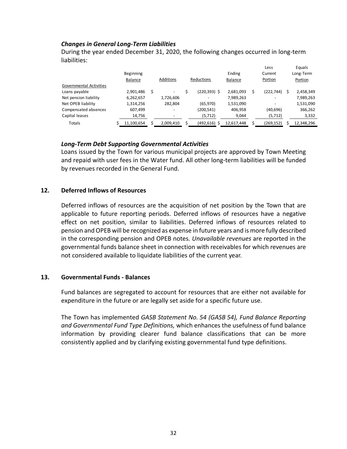#### *Changes in General Long‐Term Liabilities*

During the year ended December 31, 2020, the following changes occurred in long‐term liabilities:

|                                |                  |           |                 |            |   | Less                     |   | Equals     |
|--------------------------------|------------------|-----------|-----------------|------------|---|--------------------------|---|------------|
|                                | <b>Beginning</b> |           |                 | Ending     |   | Current                  |   | Long-Term  |
|                                | Balance          | Additions | Reductions      | Balance    |   | Portion                  |   | Portion    |
| <b>Governmental Activities</b> |                  |           |                 |            |   |                          |   |            |
| Loans payable                  | 2,901,486        | \$        | $(220, 393)$ \$ | 2,681,093  | Ś | (222, 744)               | Ś | 2,458,349  |
| Net pension liability          | 6,262,657        | 1,726,606 |                 | 7,989,263  |   | $\overline{\phantom{a}}$ |   | 7,989,263  |
| Net OPEB liability             | 1,314,256        | 282,804   | (65, 970)       | 1,531,090  |   | ٠                        |   | 1,531,090  |
| Compensated absences           | 607,499          |           | (200,541)       | 406,958    |   | (40,696)                 |   | 366,262    |
| Capital leases                 | 14,756           |           | (5, 712)        | 9,044      |   | (5, 712)                 |   | 3,332      |
| Totals                         | 11,100,654       | 2,009,410 | $(492, 616)$ \$ | 12,617,448 |   | (269,152)                |   | 12,348,296 |

#### *Long‐Term Debt Supporting Governmental Activities*

Loans issued by the Town for various municipal projects are approved by Town Meeting and repaid with user fees in the Water fund. All other long‐term liabilities will be funded by revenues recorded in the General Fund.

#### **12. Deferred Inflows of Resources**

Deferred inflows of resources are the acquisition of net position by the Town that are applicable to future reporting periods. Deferred inflows of resources have a negative effect on net position, similar to liabilities. Deferred inflows of resources related to pension and OPEB will be recognized as expense in future years and is more fully described in the corresponding pension and OPEB notes. *Unavailable revenues* are reported in the governmental funds balance sheet in connection with receivables for which revenues are not considered available to liquidate liabilities of the current year.

#### **13. Governmental Funds ‐ Balances**

Fund balances are segregated to account for resources that are either not available for expenditure in the future or are legally set aside for a specific future use.

The Town has implemented *GASB Statement No. 54 (GASB 54), Fund Balance Reporting and Governmental Fund Type Definitions,* which enhances the usefulness of fund balance information by providing clearer fund balance classifications that can be more consistently applied and by clarifying existing governmental fund type definitions.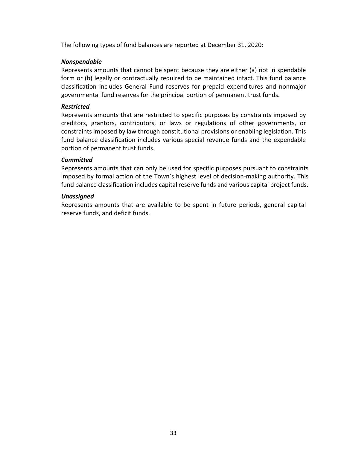The following types of fund balances are reported at December 31, 2020:

# *Nonspendable*

Represents amounts that cannot be spent because they are either (a) not in spendable form or (b) legally or contractually required to be maintained intact. This fund balance classification includes General Fund reserves for prepaid expenditures and nonmajor governmental fund reserves for the principal portion of permanent trust funds.

# *Restricted*

Represents amounts that are restricted to specific purposes by constraints imposed by creditors, grantors, contributors, or laws or regulations of other governments, or constraints imposed by law through constitutional provisions or enabling legislation. This fund balance classification includes various special revenue funds and the expendable portion of permanent trust funds.

# *Committed*

Represents amounts that can only be used for specific purposes pursuant to constraints imposed by formal action of the Town's highest level of decision-making authority. This fund balance classification includes capital reserve funds and various capital project funds.

#### *Unassigned*

Represents amounts that are available to be spent in future periods, general capital reserve funds, and deficit funds.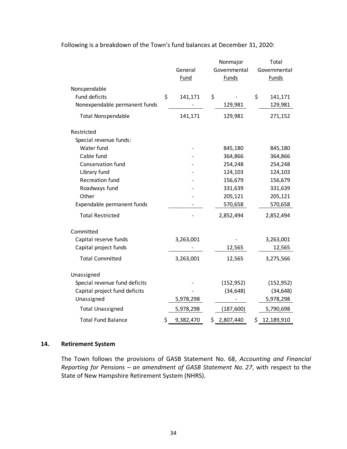|                               |                 | Nonmajor        | Total            |
|-------------------------------|-----------------|-----------------|------------------|
|                               | General         | Governmental    | Governmental     |
|                               | Fund            | <b>Funds</b>    | <b>Funds</b>     |
| Nonspendable                  |                 |                 |                  |
| Fund deficits                 | \$<br>141,171   | \$              | \$<br>141,171    |
| Nonexpendable permanent funds |                 | 129,981         | 129,981          |
| <b>Total Nonspendable</b>     | 141,171         | 129,981         | 271,152          |
| Restricted                    |                 |                 |                  |
| Special revenue funds:        |                 |                 |                  |
| Water fund                    |                 | 845,180         | 845,180          |
| Cable fund                    |                 | 364,866         | 364,866          |
| Conservation fund             |                 | 254,248         | 254,248          |
| Library fund                  |                 | 124,103         | 124,103          |
| <b>Recreation fund</b>        |                 | 156,679         | 156,679          |
| Roadways fund                 |                 | 331,639         | 331,639          |
| Other                         |                 | 205,121         | 205,121          |
| Expendable permanent funds    |                 | 570,658         | 570,658          |
| <b>Total Restricted</b>       |                 | 2,852,494       | 2,852,494        |
| Committed                     |                 |                 |                  |
| Capital reserve funds         | 3,263,001       |                 | 3,263,001        |
| Capital project funds         |                 | 12,565          | 12,565           |
| <b>Total Committed</b>        | 3,263,001       | 12,565          | 3,275,566        |
| Unassigned                    |                 |                 |                  |
| Special revenue fund deficits |                 | (152, 952)      | (152, 952)       |
| Capital project fund deficits |                 | (34, 648)       | (34, 648)        |
| Unassigned                    | 5,978,298       |                 | 5,978,298        |
| <b>Total Unassigned</b>       | 5,978,298       | (187, 600)      | 5,790,698        |
| <b>Total Fund Balance</b>     | \$<br>9,382,470 | \$<br>2,807,440 | \$<br>12,189,910 |

Following is a breakdown of the Town's fund balances at December 31, 2020:

# **14. Retirement System**

The Town follows the provisions of GASB Statement No. 68, *Accounting and Financial Reporting for Pensions – an amendment of GASB Statement No. 27*, with respect to the State of New Hampshire Retirement System (NHRS).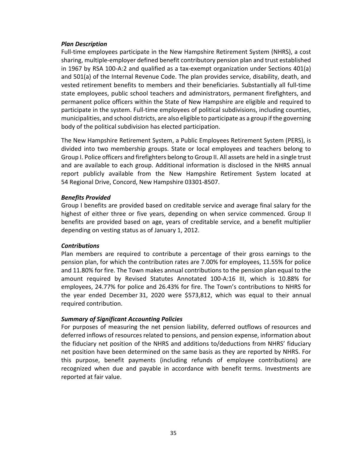#### *Plan Description*

Full‐time employees participate in the New Hampshire Retirement System (NHRS), a cost sharing, multiple‐employer defined benefit contributory pension plan and trust established in 1967 by RSA 100-A:2 and qualified as a tax-exempt organization under Sections 401(a) and 501(a) of the Internal Revenue Code. The plan provides service, disability, death, and vested retirement benefits to members and their beneficiaries. Substantially all full‐time state employees, public school teachers and administrators, permanent firefighters, and permanent police officers within the State of New Hampshire are eligible and required to participate in the system. Full-time employees of political subdivisions, including counties, municipalities, and school districts, are also eligible to participate as a group if the governing body of the political subdivision has elected participation.

The New Hampshire Retirement System, a Public Employees Retirement System (PERS), is divided into two membership groups. State or local employees and teachers belong to Group I. Police officers and firefighters belong to Group II. All assets are held in a single trust and are available to each group. Additional information is disclosed in the NHRS annual report publicly available from the New Hampshire Retirement System located at 54 Regional Drive, Concord, New Hampshire 03301‐8507.

# *Benefits Provided*

Group I benefits are provided based on creditable service and average final salary for the highest of either three or five years, depending on when service commenced. Group II benefits are provided based on age, years of creditable service, and a benefit multiplier depending on vesting status as of January 1, 2012.

# *Contributions*

Plan members are required to contribute a percentage of their gross earnings to the pension plan, for which the contribution rates are 7.00% for employees, 11.55% for police and 11.80% for fire. The Town makes annual contributions to the pension plan equal to the amount required by Revised Statutes Annotated 100‐A:16 III, which is 10.88% for employees, 24.77% for police and 26.43% for fire. The Town's contributions to NHRS for the year ended December 31, 2020 were \$573,812, which was equal to their annual required contribution.

# *Summary of Significant Accounting Policies*

For purposes of measuring the net pension liability, deferred outflows of resources and deferred inflows of resources related to pensions, and pension expense, information about the fiduciary net position of the NHRS and additions to/deductions from NHRS' fiduciary net position have been determined on the same basis as they are reported by NHRS. For this purpose, benefit payments (including refunds of employee contributions) are recognized when due and payable in accordance with benefit terms. Investments are reported at fair value.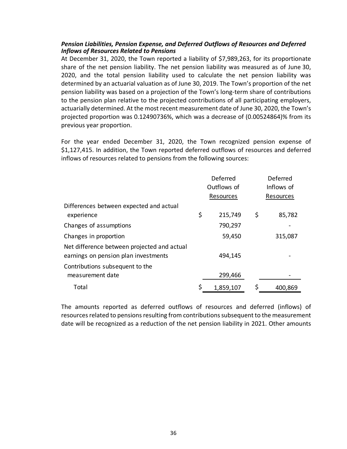# *Pension Liabilities, Pension Expense, and Deferred Outflows of Resources and Deferred Inflows of Resources Related to Pensions*

At December 31, 2020, the Town reported a liability of \$7,989,263, for its proportionate share of the net pension liability. The net pension liability was measured as of June 30, 2020, and the total pension liability used to calculate the net pension liability was determined by an actuarial valuation as of June 30, 2019. The Town's proportion of the net pension liability was based on a projection of the Town's long‐term share of contributions to the pension plan relative to the projected contributions of all participating employers, actuarially determined. At the most recent measurement date of June 30, 2020, the Town's projected proportion was 0.12490736%, which was a decrease of (0.00524864)% from its previous year proportion.

For the year ended December 31, 2020, the Town recognized pension expense of \$1,127,415. In addition, the Town reported deferred outflows of resources and deferred inflows of resources related to pensions from the following sources:

|                                             | Deferred      | Deferred     |
|---------------------------------------------|---------------|--------------|
|                                             | Outflows of   | Inflows of   |
|                                             | Resources     | Resources    |
| Differences between expected and actual     |               |              |
| experience                                  | \$<br>215,749 | \$<br>85,782 |
| Changes of assumptions                      | 790,297       |              |
| Changes in proportion                       | 59,450        | 315,087      |
| Net difference between projected and actual |               |              |
| earnings on pension plan investments        | 494,145       |              |
| Contributions subsequent to the             |               |              |
| measurement date                            | 299,466       |              |
| Total                                       | 1,859,107     | 400,869      |

The amounts reported as deferred outflows of resources and deferred (inflows) of resources related to pensions resulting from contributions subsequent to the measurement date will be recognized as a reduction of the net pension liability in 2021. Other amounts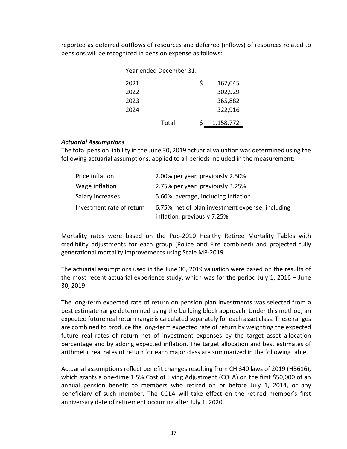reported as deferred outflows of resources and deferred (inflows) of resources related to pensions will be recognized in pension expense as follows:

| Year ended December 31: |       |    |           |
|-------------------------|-------|----|-----------|
| 2021                    |       | Ś. | 167,045   |
| 2022                    |       |    | 302,929   |
| 2023                    |       |    | 365,882   |
| 2024                    |       |    | 322,916   |
|                         | Total | S. | 1,158,772 |

#### *Actuarial Assumptions*

The total pension liability in the June 30, 2019 actuarial valuation was determined using the following actuarial assumptions, applied to all periods included in the measurement:

| Price inflation           | 2.00% per year, previously 2.50%                                                |
|---------------------------|---------------------------------------------------------------------------------|
| Wage inflation            | 2.75% per year, previously 3.25%                                                |
| Salary increases          | 5.60% average, including inflation                                              |
| Investment rate of return | 6.75%, net of plan investment expense, including<br>inflation, previously 7.25% |

Mortality rates were based on the Pub‐2010 Healthy Retiree Mortality Tables with credibility adjustments for each group (Police and Fire combined) and projected fully generational mortality improvements using Scale MP‐2019.

The actuarial assumptions used in the June 30, 2019 valuation were based on the results of the most recent actuarial experience study, which was for the period July 1, 2016 – June 30, 2019.

The long‐term expected rate of return on pension plan investments was selected from a best estimate range determined using the building block approach. Under this method, an expected future real return range is calculated separately for each asset class. These ranges are combined to produce the long‐term expected rate of return by weighting the expected future real rates of return net of investment expenses by the target asset allocation percentage and by adding expected inflation. The target allocation and best estimates of arithmetic real rates of return for each major class are summarized in the following table.

Actuarial assumptions reflect benefit changes resulting from CH 340 laws of 2019 (HB616), which grants a one-time 1.5% Cost of Living Adjustment (COLA) on the first \$50,000 of an annual pension benefit to members who retired on or before July 1, 2014, or any beneficiary of such member. The COLA will take effect on the retired member's first anniversary date of retirement occurring after July 1, 2020.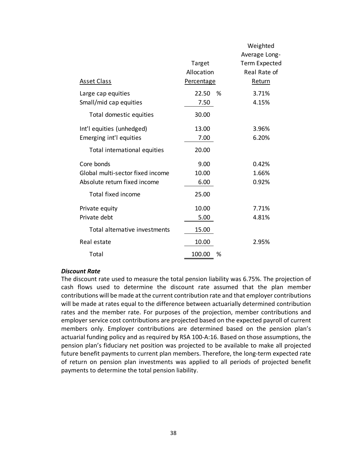|                                  |            |   | Average Long-        |
|----------------------------------|------------|---|----------------------|
|                                  | Target     |   | <b>Term Expected</b> |
|                                  | Allocation |   | Real Rate of         |
| <b>Asset Class</b>               | Percentage |   | Return               |
| Large cap equities               | 22.50      | % | 3.71%                |
| Small/mid cap equities           | 7.50       |   | 4.15%                |
| Total domestic equities          | 30.00      |   |                      |
| Int'l equities (unhedged)        | 13.00      |   | 3.96%                |
| Emerging int'l equities          | 7.00       |   | 6.20%                |
| Total international equities     | 20.00      |   |                      |
| Core bonds                       | 9.00       |   | 0.42%                |
| Global multi-sector fixed income | 10.00      |   | 1.66%                |
| Absolute return fixed income     | 6.00       |   | 0.92%                |
| <b>Total fixed income</b>        | 25.00      |   |                      |
| Private equity                   | 10.00      |   | 7.71%                |
| Private debt                     | 5.00       |   | 4.81%                |
| Total alternative investments    | 15.00      |   |                      |
| Real estate                      | 10.00      |   | 2.95%                |
| Total                            | 100.00     | % |                      |

#### *Discount Rate*

The discount rate used to measure the total pension liability was 6.75%. The projection of cash flows used to determine the discount rate assumed that the plan member contributions will be made at the current contribution rate and that employer contributions will be made at rates equal to the difference between actuarially determined contribution rates and the member rate. For purposes of the projection, member contributions and employer service cost contributions are projected based on the expected payroll of current members only. Employer contributions are determined based on the pension plan's actuarial funding policy and as required by RSA 100‐A:16. Based on those assumptions, the pension plan's fiduciary net position was projected to be available to make all projected future benefit payments to current plan members. Therefore, the long-term expected rate of return on pension plan investments was applied to all periods of projected benefit payments to determine the total pension liability.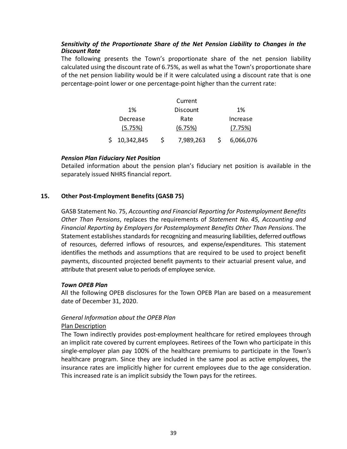# *Sensitivity of the Proportionate Share of the Net Pension Liability to Changes in the Discount Rate*

The following presents the Town's proportionate share of the net pension liability calculated using the discount rate of 6.75%, as well as what the Town's proportionate share of the net pension liability would be if it were calculated using a discount rate that is one percentage‐point lower or one percentage‐point higher than the current rate:

|              | Current   |           |
|--------------|-----------|-----------|
| 1%           | Discount  | 1%        |
| Decrease     | Rate      | Increase  |
| (5.75%)      | (6.75%)   | (7.75%)   |
| \$10,342,845 | 7,989,263 | 6,066,076 |

# *Pension Plan Fiduciary Net Position*

Detailed information about the pension plan's fiduciary net position is available in the separately issued NHRS financial report.

# **15. Other Post‐Employment Benefits (GASB 75)**

GASB Statement No. 75, *Accounting and Financial Reporting for Postemployment Benefits Other Than Pensions*, replaces the requirements of *Statement No. 45, Accounting and Financial Reporting by Employers for Postemployment Benefits Other Than Pensions*. The Statement establishes standards for recognizing and measuring liabilities, deferred outflows of resources, deferred inflows of resources, and expense/expenditures. This statement identifies the methods and assumptions that are required to be used to project benefit payments, discounted projected benefit payments to their actuarial present value, and attribute that present value to periods of employee service.

# *Town OPEB Plan*

All the following OPEB disclosures for the Town OPEB Plan are based on a measurement date of December 31, 2020.

# *General Information about the OPEB Plan*

# Plan Description

The Town indirectly provides post-employment healthcare for retired employees through an implicit rate covered by current employees. Retirees of the Town who participate in this single-employer plan pay 100% of the healthcare premiums to participate in the Town's healthcare program. Since they are included in the same pool as active employees, the insurance rates are implicitly higher for current employees due to the age consideration. This increased rate is an implicit subsidy the Town pays for the retirees.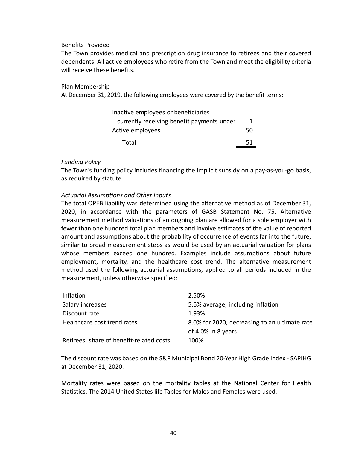#### Benefits Provided

The Town provides medical and prescription drug insurance to retirees and their covered dependents. All active employees who retire from the Town and meet the eligibility criteria will receive these benefits.

#### Plan Membership

At December 31, 2019, the following employees were covered by the benefit terms:

| Inactive employees or beneficiaries        |    |
|--------------------------------------------|----|
| currently receiving benefit payments under | 1  |
| Active employees                           | 50 |
| Total                                      | 51 |

#### *Funding Policy*

The Town's funding policy includes financing the implicit subsidy on a pay‐as‐you‐go basis, as required by statute.

# *Actuarial Assumptions and Other Inputs*

The total OPEB liability was determined using the alternative method as of December 31, 2020, in accordance with the parameters of GASB Statement No. 75. Alternative measurement method valuations of an ongoing plan are allowed for a sole employer with fewer than one hundred total plan members and involve estimates of the value of reported amount and assumptions about the probability of occurrence of events far into the future, similar to broad measurement steps as would be used by an actuarial valuation for plans whose members exceed one hundred. Examples include assumptions about future employment, mortality, and the healthcare cost trend. The alternative measurement method used the following actuarial assumptions, applied to all periods included in the measurement, unless otherwise specified:

| Inflation                                | 2.50%                                         |
|------------------------------------------|-----------------------------------------------|
| Salary increases                         | 5.6% average, including inflation             |
| Discount rate                            | 1.93%                                         |
| Healthcare cost trend rates              | 8.0% for 2020, decreasing to an ultimate rate |
|                                          | of 4.0% in 8 years                            |
| Retirees' share of benefit-related costs | 100%                                          |

The discount rate was based on the S&P Municipal Bond 20‐Year High Grade Index ‐ SAPIHG at December 31, 2020.

Mortality rates were based on the mortality tables at the National Center for Health Statistics. The 2014 United States life Tables for Males and Females were used.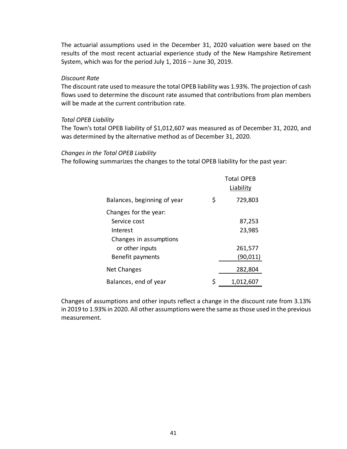The actuarial assumptions used in the December 31, 2020 valuation were based on the results of the most recent actuarial experience study of the New Hampshire Retirement System, which was for the period July 1, 2016 – June 30, 2019.

#### *Discount Rate*

The discount rate used to measure the total OPEB liability was 1.93%. The projection of cash flows used to determine the discount rate assumed that contributions from plan members will be made at the current contribution rate.

#### *Total OPEB Liability*

The Town's total OPEB liability of \$1,012,607 was measured as of December 31, 2020, and was determined by the alternative method as of December 31, 2020.

#### *Changes in the Total OPEB Liability*

The following summarizes the changes to the total OPEB liability for the past year:

|                             | <b>Total OPEB</b><br>Liability |
|-----------------------------|--------------------------------|
| Balances, beginning of year | \$<br>729,803                  |
| Changes for the year:       |                                |
| Service cost                | 87,253                         |
| Interest                    | 23,985                         |
| Changes in assumptions      |                                |
| or other inputs             | 261,577                        |
| Benefit payments            | (90, 011)                      |
| Net Changes                 | 282,804                        |
| Balances, end of year       | \$<br>1,012,607                |

Changes of assumptions and other inputs reflect a change in the discount rate from 3.13% in 2019 to 1.93% in 2020. All other assumptions were the same as those used in the previous measurement.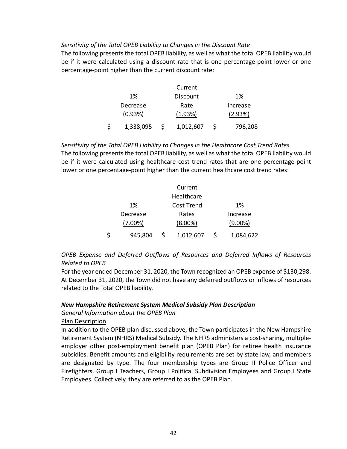# *Sensitivity of the Total OPEB Liability to Changes in the Discount Rate*

The following presents the total OPEB liability, as well as what the total OPEB liability would be if it were calculated using a discount rate that is one percentage-point lower or one percentage‐point higher than the current discount rate:

|           | Current         |          |
|-----------|-----------------|----------|
| 1%        | <b>Discount</b> | 1%       |
| Decrease  | Rate            | Increase |
| (0.93%)   | (1.93%)         | (2.93%)  |
| 1,338,095 | 1,012,607       | 796,208  |

*Sensitivity of the Total OPEB Liability to Changes in the Healthcare Cost Trend Rates*  The following presents the total OPEB liability, as well as what the total OPEB liability would be if it were calculated using healthcare cost trend rates that are one percentage-point lower or one percentage‐point higher than the current healthcare cost trend rates:

|   |            | Current    |            |
|---|------------|------------|------------|
|   |            | Healthcare |            |
|   | 1%         | Cost Trend | 1%         |
|   | Decrease   | Rates      | Increase   |
|   | $(7.00\%)$ | $(8.00\%)$ | $(9.00\%)$ |
| S | 945,804    | 1,012,607  | 1,084,622  |

*OPEB Expense and Deferred Outflows of Resources and Deferred Inflows of Resources Related to OPEB* 

For the year ended December 31, 2020, the Town recognized an OPEB expense of \$130,298. At December 31, 2020, the Town did not have any deferred outflows or inflows of resources related to the Total OPEB liability.

#### *New Hampshire Retirement System Medical Subsidy Plan Description*

*General Information about the OPEB Plan* 

Plan Description

In addition to the OPEB plan discussed above, the Town participates in the New Hampshire Retirement System (NHRS) Medical Subsidy. The NHRS administers a cost‐sharing, multiple‐ employer other post-employment benefit plan (OPEB Plan) for retiree health insurance subsidies. Benefit amounts and eligibility requirements are set by state law, and members are designated by type. The four membership types are Group II Police Officer and Firefighters, Group I Teachers, Group I Political Subdivision Employees and Group I State Employees. Collectively, they are referred to as the OPEB Plan.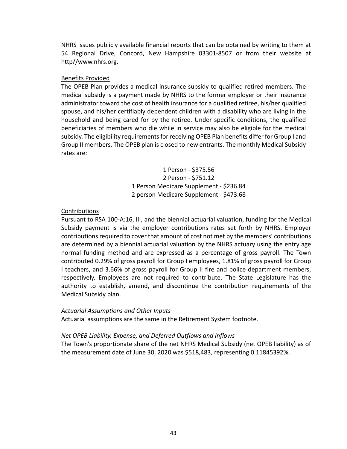NHRS issues publicly available financial reports that can be obtained by writing to them at 54 Regional Drive, Concord, New Hampshire 03301‐8507 or from their website at http//www.nhrs.org.

# Benefits Provided

The OPEB Plan provides a medical insurance subsidy to qualified retired members. The medical subsidy is a payment made by NHRS to the former employer or their insurance administrator toward the cost of health insurance for a qualified retiree, his/her qualified spouse, and his/her certifiably dependent children with a disability who are living in the household and being cared for by the retiree. Under specific conditions, the qualified beneficiaries of members who die while in service may also be eligible for the medical subsidy. The eligibility requirements for receiving OPEB Plan benefits differ for Group I and Group II members. The OPEB plan is closed to new entrants. The monthly Medical Subsidy rates are:

> 1 Person ‐ \$375.56 2 Person ‐ \$751.12 1 Person Medicare Supplement ‐ \$236.84 2 person Medicare Supplement ‐ \$473.68

# **Contributions**

Pursuant to RSA 100‐A:16, III, and the biennial actuarial valuation, funding for the Medical Subsidy payment is via the employer contributions rates set forth by NHRS. Employer contributions required to cover that amount of cost not met by the members' contributions are determined by a biennial actuarial valuation by the NHRS actuary using the entry age normal funding method and are expressed as a percentage of gross payroll. The Town contributed 0.29% of gross payroll for Group I employees, 1.81% of gross payroll for Group I teachers, and 3.66% of gross payroll for Group II fire and police department members, respectively. Employees are not required to contribute. The State Legislature has the authority to establish, amend, and discontinue the contribution requirements of the Medical Subsidy plan.

# *Actuarial Assumptions and Other Inputs*

Actuarial assumptions are the same in the Retirement System footnote.

# *Net OPEB Liability, Expense, and Deferred Outflows and Inflows*

The Town's proportionate share of the net NHRS Medical Subsidy (net OPEB liability) as of the measurement date of June 30, 2020 was \$518,483, representing 0.11845392%.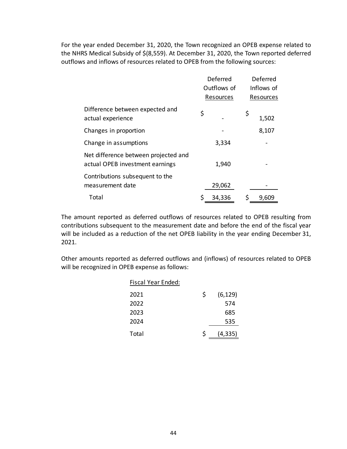For the year ended December 31, 2020, the Town recognized an OPEB expense related to the NHRS Medical Subsidy of \$(8,559). At December 31, 2020, the Town reported deferred outflows and inflows of resources related to OPEB from the following sources:

|                                                                         | Deferred    | Deferred    |
|-------------------------------------------------------------------------|-------------|-------------|
|                                                                         | Outflows of | Inflows of  |
|                                                                         | Resources   | Resources   |
| Difference between expected and<br>actual experience                    | \$          | \$<br>1,502 |
| Changes in proportion                                                   |             | 8,107       |
| Change in assumptions                                                   | 3,334       |             |
| Net difference between projected and<br>actual OPEB investment earnings | 1,940       |             |
| Contributions subsequent to the<br>measurement date                     | 29,062      |             |
| Total                                                                   | 34,336      | \$<br>9,609 |

The amount reported as deferred outflows of resources related to OPEB resulting from contributions subsequent to the measurement date and before the end of the fiscal year will be included as a reduction of the net OPEB liability in the year ending December 31, 2021.

Other amounts reported as deferred outflows and (inflows) of resources related to OPEB will be recognized in OPEB expense as follows:

| Fiscal Year Ended: |    |          |
|--------------------|----|----------|
| 2021               | \$ | (6, 129) |
| 2022               |    | 574      |
| 2023               |    | 685      |
| 2024               |    | 535      |
| Total              | Ś  | (4, 335) |
|                    |    |          |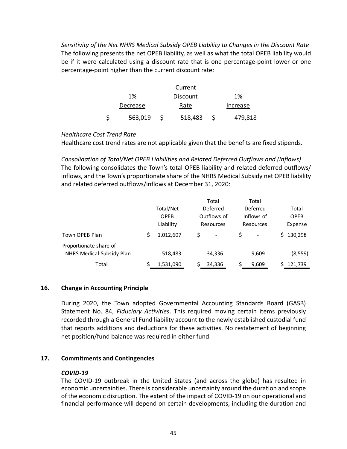*Sensitivity of the Net NHRS Medical Subsidy OPEB Liability to Changes in the Discount Rate*  The following presents the net OPEB liability, as well as what the total OPEB liability would be if it were calculated using a discount rate that is one percentage-point lower or one percentage‐point higher than the current discount rate:

|          | Current         |          |
|----------|-----------------|----------|
| 1%       | <b>Discount</b> | 1%       |
| Decrease | Rate            | Increase |
| 563,019  | 518,483         | 479,818  |

# *Healthcare Cost Trend Rate*

Healthcare cost trend rates are not applicable given that the benefits are fixed stipends.

*Consolidation of Total/Net OPEB Liabilities and Related Deferred Outflows and (Inflows)*  The following consolidates the Town's total OPEB liability and related deferred outflows/ inflows, and the Town's proportionate share of the NHRS Medical Subsidy net OPEB liability and related deferred outflows/inflows at December 31, 2020:

|                                                     |             |   | Total       | Total      |             |
|-----------------------------------------------------|-------------|---|-------------|------------|-------------|
|                                                     | Total/Net   |   | Deferred    | Deferred   | Total       |
|                                                     | <b>OPEB</b> |   | Outflows of | Inflows of | <b>OPEB</b> |
|                                                     | Liability   |   | Resources   | Resources  | Expense     |
| Town OPEB Plan                                      | 1,012,607   | S |             |            | 130,298     |
| Proportionate share of<br>NHRS Medical Subsidy Plan | 518,483     |   | 34,336      | 9,609      | (8, 559)    |
| Total                                               | 1,531,090   |   | 34,336      | 9,609      | 121,739     |

# **16. Change in Accounting Principle**

During 2020, the Town adopted Governmental Accounting Standards Board (GASB) Statement No. 84, *Fiduciary Activities*. This required moving certain items previously recorded through a General Fund liability account to the newly established custodial fund that reports additions and deductions for these activities. No restatement of beginning net position/fund balance was required in either fund.

# **17. Commitments and Contingencies**

# *COVID‐19*

The COVID-19 outbreak in the United States (and across the globe) has resulted in economic uncertainties. There is considerable uncertainty around the duration and scope of the economic disruption. The extent of the impact of COVID‐19 on our operational and financial performance will depend on certain developments, including the duration and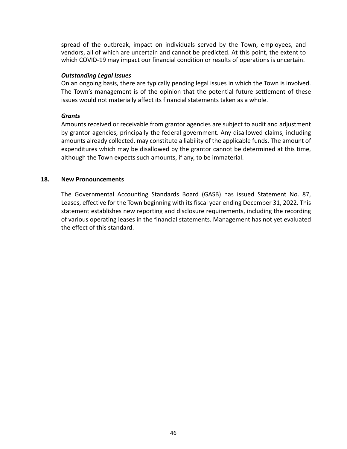spread of the outbreak, impact on individuals served by the Town, employees, and vendors, all of which are uncertain and cannot be predicted. At this point, the extent to which COVID‐19 may impact our financial condition or results of operations is uncertain.

#### *Outstanding Legal Issues*

On an ongoing basis, there are typically pending legal issues in which the Town is involved. The Town's management is of the opinion that the potential future settlement of these issues would not materially affect its financial statements taken as a whole.

#### *Grants*

Amounts received or receivable from grantor agencies are subject to audit and adjustment by grantor agencies, principally the federal government. Any disallowed claims, including amounts already collected, may constitute a liability of the applicable funds. The amount of expenditures which may be disallowed by the grantor cannot be determined at this time, although the Town expects such amounts, if any, to be immaterial.

# **18. New Pronouncements**

The Governmental Accounting Standards Board (GASB) has issued Statement No. 87, Leases, effective for the Town beginning with its fiscal year ending December 31, 2022. This statement establishes new reporting and disclosure requirements, including the recording of various operating leases in the financial statements. Management has not yet evaluated the effect of this standard.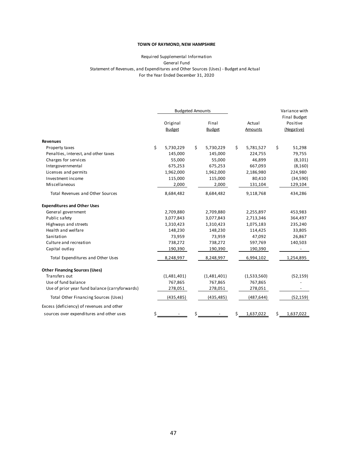#### General Fund For the Year Ended December 31, 2020 Required Supplemental Information Statement of Revenues, and Expenditures and Other Sources (Uses) ‐ Budget and Actual

|                                                | <b>Budgeted Amounts</b> |                 |                 | Variance with |                                 |
|------------------------------------------------|-------------------------|-----------------|-----------------|---------------|---------------------------------|
|                                                | Original                | Final           | Actual          |               | <b>Final Budget</b><br>Positive |
|                                                | <b>Budget</b>           | <b>Budget</b>   | Amounts         |               | (Negative)                      |
|                                                |                         |                 |                 |               |                                 |
| <b>Revenues</b>                                |                         |                 |                 |               |                                 |
| Property taxes                                 | \$<br>5,730,229         | \$<br>5,730,229 | \$<br>5,781,527 | \$            | 51,298                          |
| Penalties, interest, and other taxes           | 145,000                 | 145,000         | 224,755         |               | 79,755                          |
| Charges for services                           | 55,000                  | 55,000          | 46,899          |               | (8, 101)                        |
| Intergovernmental                              | 675,253                 | 675,253         | 667,093         |               | (8, 160)                        |
| Licenses and permits                           | 1,962,000               | 1,962,000       | 2,186,980       |               | 224,980                         |
| Investment income                              | 115,000                 | 115,000         | 80,410          |               | (34, 590)                       |
| Miscellaneous                                  | 2,000                   | 2,000           | 131,104         |               | 129,104                         |
| <b>Total Revenues and Other Sources</b>        | 8,684,482               | 8,684,482       | 9,118,768       |               | 434,286                         |
| <b>Expenditures and Other Uses</b>             |                         |                 |                 |               |                                 |
| General government                             | 2,709,880               | 2,709,880       | 2,255,897       |               | 453,983                         |
| Public safety                                  | 3,077,843               | 3,077,843       | 2,713,346       |               | 364,497                         |
| Highways and streets                           | 1,310,423               | 1,310,423       | 1,075,183       |               | 235,240                         |
| Health and welfare                             | 148,230                 | 148,230         | 114,425         |               | 33,805                          |
| Sanitation                                     | 73,959                  | 73,959          | 47,092          |               | 26,867                          |
| Culture and recreation                         | 738,272                 | 738,272         | 597,769         |               | 140,503                         |
| Capital outlay                                 | 190,390                 | 190,390         | 190,390         |               |                                 |
| Total Expenditures and Other Uses              | 8,248,997               | 8,248,997       | 6,994,102       |               | 1,254,895                       |
| <b>Other Financing Sources (Uses)</b>          |                         |                 |                 |               |                                 |
| Transfers out                                  | (1,481,401)             | (1,481,401)     | (1,533,560)     |               | (52, 159)                       |
| Use of fund balance                            | 767,865                 | 767,865         | 767,865         |               |                                 |
| Use of prior year fund balance (carryforwards) | 278,051                 | 278,051         | 278,051         |               |                                 |
| Total Other Financing Sources (Uses)           | (435, 485)              | (435, 485)      | (487, 644)      |               | (52, 159)                       |
| Excess (deficiency) of revenues and other      |                         |                 |                 |               |                                 |
| sources over expenditures and other uses       | \$                      | \$              | \$<br>1,637,022 | \$            | 1,637,022                       |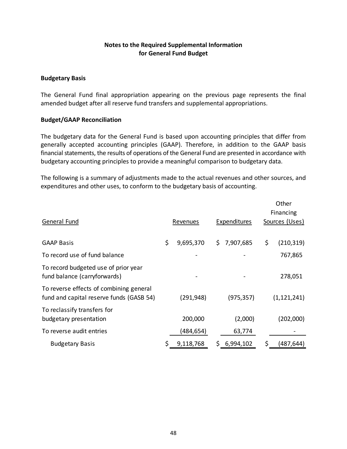# **Notes to the Required Supplemental Information for General Fund Budget**

# **Budgetary Basis**

The General Fund final appropriation appearing on the previous page represents the final amended budget after all reserve fund transfers and supplemental appropriations.

# **Budget/GAAP Reconciliation**

The budgetary data for the General Fund is based upon accounting principles that differ from generally accepted accounting principles (GAAP). Therefore, in addition to the GAAP basis financial statements, the results of operations of the General Fund are presented in accordance with budgetary accounting principles to provide a meaningful comparison to budgetary data.

The following is a summary of adjustments made to the actual revenues and other sources, and expenditures and other uses, to conform to the budgetary basis of accounting.

|                                                                                     |                 |     |                     | Other<br>Financing |
|-------------------------------------------------------------------------------------|-----------------|-----|---------------------|--------------------|
| General Fund                                                                        | Revenues        |     | <b>Expenditures</b> | Sources (Uses)     |
| <b>GAAP Basis</b>                                                                   | \$<br>9,695,370 | \$. | 7,907,685           | \$<br>(210, 319)   |
| To record use of fund balance                                                       |                 |     |                     | 767,865            |
| To record budgeted use of prior year<br>fund balance (carryforwards)                |                 |     |                     | 278,051            |
| To reverse effects of combining general<br>fund and capital reserve funds (GASB 54) | (291,948)       |     | (975, 357)          | (1, 121, 241)      |
| To reclassify transfers for<br>budgetary presentation                               | 200,000         |     | (2,000)             | (202,000)          |
| To reverse audit entries                                                            | (484,654)       |     | 63,774              |                    |
| <b>Budgetary Basis</b>                                                              | \$<br>9,118,768 |     | \$6,994,102         | \$<br>(487,644)    |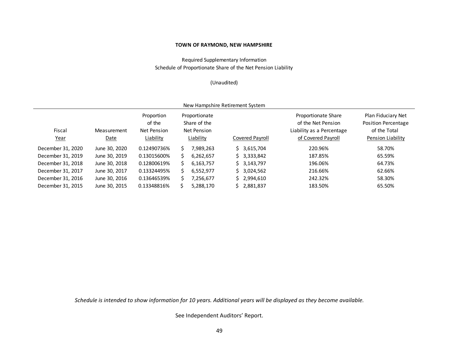Required Supplementary Information Schedule of Proportionate Share of the Net Pension Liability

#### (Unaudited)

| New Hampshire Retirement System |                     |                                                  |   |                                                           |  |                 |                                                                                              |                                                                                       |  |  |  |  |  |
|---------------------------------|---------------------|--------------------------------------------------|---|-----------------------------------------------------------|--|-----------------|----------------------------------------------------------------------------------------------|---------------------------------------------------------------------------------------|--|--|--|--|--|
| Fiscal<br><u>Year</u>           | Measurement<br>Date | Proportion<br>of the<br>Net Pension<br>Liability |   | Proportionate<br>Share of the<br>Net Pension<br>Liability |  | Covered Payroll | Proportionate Share<br>of the Net Pension<br>Liability as a Percentage<br>of Covered Payroll | Plan Fiduciary Net<br><b>Position Percentage</b><br>of the Total<br>Pension Liability |  |  |  |  |  |
| December 31, 2020               | June 30, 2020       | 0.12490736%                                      | S | 7,989,263                                                 |  | \$3,615,704     | 220.96%                                                                                      | 58.70%                                                                                |  |  |  |  |  |
| December 31, 2019               | June 30, 2019       | 0.13015600%                                      |   | 6,262,657                                                 |  | \$3,333,842     | 187.85%                                                                                      | 65.59%                                                                                |  |  |  |  |  |
| December 31, 2018               | June 30, 2018       | 0.12800619%                                      |   | 6.163.757                                                 |  | \$3,143,797     | 196.06%                                                                                      | 64.73%                                                                                |  |  |  |  |  |
| December 31, 2017               | June 30, 2017       | 0.13324495%                                      | S | 6,552,977                                                 |  | \$3,024,562     | 216.66%                                                                                      | 62.66%                                                                                |  |  |  |  |  |
| December 31, 2016               | June 30, 2016       | 0.13646539%                                      |   | 7,256,677                                                 |  | \$2,994,610     | 242.32%                                                                                      | 58.30%                                                                                |  |  |  |  |  |
| December 31, 2015               | June 30, 2015       | 0.13348816%                                      |   | 5,288,170                                                 |  | \$2,881,837     | 183.50%                                                                                      | 65.50%                                                                                |  |  |  |  |  |

*Schedule is intended to show information for 10 years. Additional years will be displayed as they become available.*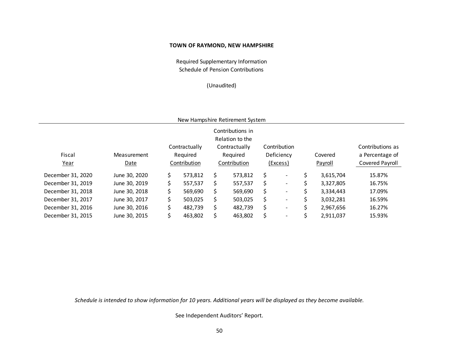Required Supplementary Information Schedule of Pension Contributions

#### (Unaudited)

| New Hampshire Retirement System |
|---------------------------------|
|---------------------------------|

|                   |               |    |               |     | Contributions in |    |                              |   |           |                  |
|-------------------|---------------|----|---------------|-----|------------------|----|------------------------------|---|-----------|------------------|
|                   |               |    |               |     | Relation to the  |    |                              |   |           |                  |
|                   |               |    | Contractually |     | Contractually    |    | Contribution                 |   |           | Contributions as |
| Fiscal            | Measurement   |    | Required      |     | Required         |    | Deficiency                   |   | Covered   | a Percentage of  |
| Year              | Date          |    | Contribution  |     | Contribution     |    | (Excess)                     |   | Payroll   | Covered Payroll  |
| December 31, 2020 | June 30, 2020 | \$ | 573,812       | Ś.  | 573,812          | \$ | $\overline{\phantom{a}}$     | S | 3,615,704 | 15.87%           |
| December 31, 2019 | June 30, 2019 | S. | 557,537       | \$. | 557,537          | \$ | $\qquad \qquad \blacksquare$ |   | 3,327,805 | 16.75%           |
| December 31, 2018 | June 30, 2018 | \$ | 569,690       | Ś.  | 569,690          | \$ | $\overline{\phantom{a}}$     |   | 3,334,443 | 17.09%           |
| December 31, 2017 | June 30, 2017 | \$ | 503,025       | \$. | 503,025          | \$ | $\overline{\phantom{0}}$     |   | 3,032,281 | 16.59%           |
| December 31, 2016 | June 30, 2016 | \$ | 482,739       | Ś.  | 482,739          | \$ | $\overline{\phantom{0}}$     |   | 2,967,656 | 16.27%           |
| December 31, 2015 | June 30, 2015 |    | 463,802       |     | 463,802          | \$ | $\overline{\phantom{0}}$     |   | 2,911,037 | 15.93%           |

*Schedule is intended to show information for 10 years. Additional years will be displayed as they become available.*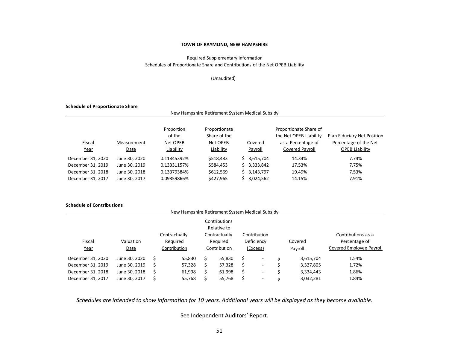#### Schedules of Proportionate Share and Contributions of the Net OPEB Liability Required Supplementary Information

#### (Unaudited)

New Hampshire Retirement System Medical Subsidy

#### **Schedule of Proportionate Share**

| Fiscal<br><u>Year</u> | Proportion<br>of the<br>Net OPEB<br>Measurement<br>Liability<br>Date |             | Proportionate<br>Share of the<br>Net OPEB<br>Liability | Covered<br>Payroll | Proportionate Share of<br>the Net OPEB Liability<br>as a Percentage of<br>Covered Payroll | Plan Fiduciary Net Position<br>Percentage of the Net<br><b>OPEB Liability</b> |  |  |
|-----------------------|----------------------------------------------------------------------|-------------|--------------------------------------------------------|--------------------|-------------------------------------------------------------------------------------------|-------------------------------------------------------------------------------|--|--|
| December 31, 2020     | June 30, 2020                                                        | 0.11845392% | \$518,483                                              | \$3,615,704        | 14.34%                                                                                    | 7.74%                                                                         |  |  |
| December 31, 2019     | June 30, 2019                                                        | 0.13331157% | \$584,453                                              | \$3,333,842        | 17.53%                                                                                    | 7.75%                                                                         |  |  |
| December 31, 2018     | June 30, 2018                                                        | 0.13379384% | \$612,569                                              | 3,143,797<br>Ś.    | 19.49%                                                                                    | 7.53%                                                                         |  |  |
| December 31, 2017     | June 30, 2017                                                        | 0.09359866% | \$427,965                                              | 3,024,562<br>S.    | 14.15%                                                                                    | 7.91%                                                                         |  |  |

#### **Schedule of Contributions**

| New Hampshire Retirement System Medical Subsidy |               |  |               |                              |               |          |                          |         |           |                          |  |  |
|-------------------------------------------------|---------------|--|---------------|------------------------------|---------------|----------|--------------------------|---------|-----------|--------------------------|--|--|
|                                                 |               |  |               | Contributions<br>Relative to |               |          |                          |         |           |                          |  |  |
|                                                 |               |  | Contractually |                              | Contractually |          | Contribution             |         |           | Contributions as a       |  |  |
| Fiscal                                          | Valuation     |  | Required      |                              | Required      |          | Deficiency               |         | Covered   | Percentage of            |  |  |
| Year                                            | Date          |  | Contribution  |                              | Contribution  | (Excess) |                          | Payroll |           | Covered Employee Payroll |  |  |
| December 31, 2020                               | June 30, 2020 |  | 55,830        | Ć                            | 55,830        | Ś        | $\overline{\phantom{a}}$ |         | 3,615,704 | 1.54%                    |  |  |
| December 31, 2019                               | June 30, 2019 |  | 57,328        | כ                            | 57,328        | \$       | ٠                        |         | 3,327,805 | 1.72%                    |  |  |
| December 31, 2018                               | June 30, 2018 |  | 61,998        |                              | 61,998        | \$       | $\overline{\phantom{a}}$ |         | 3,334,443 | 1.86%                    |  |  |
| December 31, 2017                               | June 30, 2017 |  | 55,768        |                              | 55,768        | Ś        | ٠                        |         | 3,032,281 | 1.84%                    |  |  |

*Schedules are intended to show information for 10 years. Additional years will be displayed as they become available.*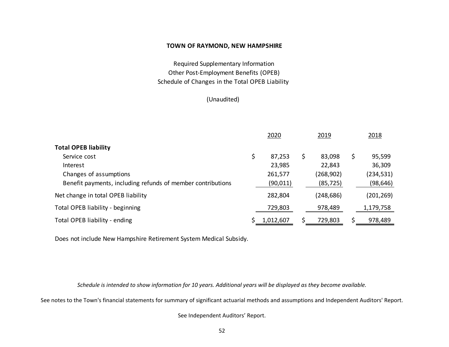Schedule of Changes in the Total OPEB Liability Required Supplementary Information Other Post‐Employment Benefits (OPEB)

(Unaudited)

|                                                             | 2020         |   | 2019       |    | 2018       |  |
|-------------------------------------------------------------|--------------|---|------------|----|------------|--|
| <b>Total OPEB liability</b>                                 |              |   |            |    |            |  |
| Service cost                                                | \$<br>87,253 | S | 83,098     | \$ | 95,599     |  |
| Interest                                                    | 23,985       |   | 22,843     |    | 36,309     |  |
| Changes of assumptions                                      | 261,577      |   | (268, 902) |    | (234, 531) |  |
| Benefit payments, including refunds of member contributions | (90,011)     |   | (85, 725)  |    | (98, 646)  |  |
| Net change in total OPEB liability                          | 282,804      |   | (248, 686) |    | (201, 269) |  |
| Total OPEB liability - beginning                            | 729,803      |   | 978,489    |    | 1,179,758  |  |
| Total OPEB liability - ending                               | 1,012,607    |   | 729,803    | Ś. | 978,489    |  |

Does not include New Hampshire Retirement System Medical Subsidy.

*Schedule is intended to show information for 10 years. Additional years will be displayed as they become available.* 

See notes to the Town's financial statements for summary of significant actuarial methods and assumptions and Independent Auditors' Report.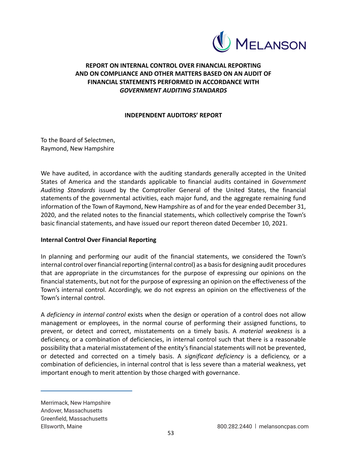

# **REPORT ON INTERNAL CONTROL OVER FINANCIAL REPORTING AND ON COMPLIANCE AND OTHER MATTERS BASED ON AN AUDIT OF FINANCIAL STATEMENTS PERFORMED IN ACCORDANCE WITH**  *GOVERNMENT AUDITING STANDARDS*

# **INDEPENDENT AUDITORS' REPORT**

To the Board of Selectmen, Raymond, New Hampshire

We have audited, in accordance with the auditing standards generally accepted in the United States of America and the standards applicable to financial audits contained in *Government Auditing Standards*  issued by the Comptroller General of the United States, the financial statements of the governmental activities, each major fund, and the aggregate remaining fund information of the Town of Raymond, New Hampshire as of and for the year ended December 31, 2020, and the related notes to the financial statements, which collectively comprise the Town's basic financial statements, and have issued our report thereon dated December 10, 2021.

# **Internal Control Over Financial Reporting**

In planning and performing our audit of the financial statements, we considered the Town's internal control over financial reporting (internal control) as a basis for designing audit procedures that are appropriate in the circumstances for the purpose of expressing our opinions on the financial statements, but not for the purpose of expressing an opinion on the effectiveness of the Town's internal control. Accordingly, we do not express an opinion on the effectiveness of the Town's internal control.

A *deficiency in internal control* exists when the design or operation of a control does not allow management or employees, in the normal course of performing their assigned functions, to prevent, or detect and correct, misstatements on a timely basis. A *material weakness* is a deficiency, or a combination of deficiencies, in internal control such that there is a reasonable possibility that a material misstatement of the entity's financial statements will not be prevented, or detected and corrected on a timely basis. A *significant deficiency* is a deficiency, or a combination of deficiencies, in internal control that is less severe than a material weakness, yet important enough to merit attention by those charged with governance.

Merrimack, New Hampshire Andover, Massachusetts Greenfield, Massachusetts Ellsworth, Maine